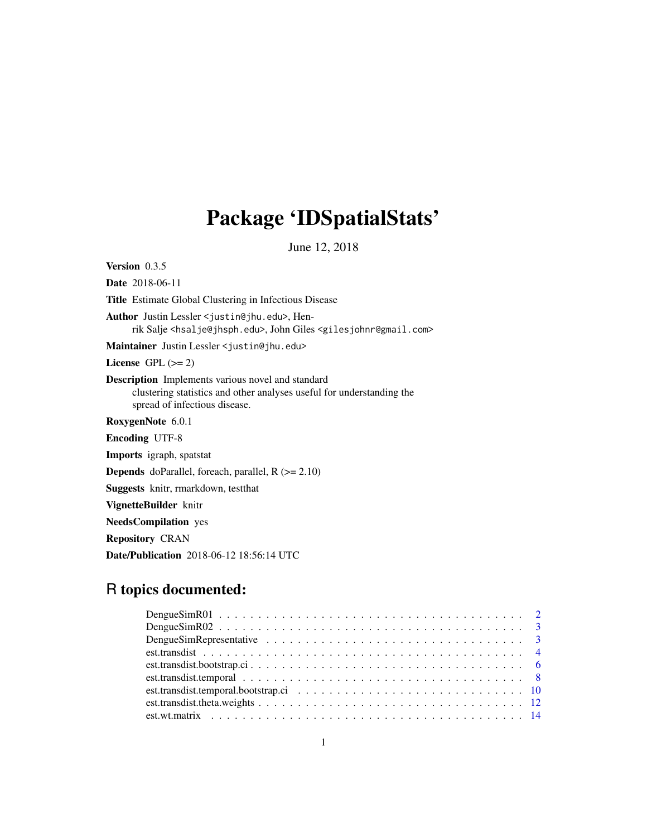## Package 'IDSpatialStats'

June 12, 2018

Version 0.3.5

Date 2018-06-11 Title Estimate Global Clustering in Infectious Disease Author Justin Lessler <justin@jhu.edu>, Henrik Salje <hsalje@jhsph.edu>, John Giles <gilesjohnr@gmail.com> Maintainer Justin Lessler <justin@jhu.edu>

License GPL  $(>= 2)$ 

Description Implements various novel and standard clustering statistics and other analyses useful for understanding the spread of infectious disease.

RoxygenNote 6.0.1

Encoding UTF-8

Imports igraph, spatstat

**Depends** doParallel, foreach, parallel,  $R$  ( $>= 2.10$ )

Suggests knitr, rmarkdown, testthat

VignetteBuilder knitr

NeedsCompilation yes

Repository CRAN

Date/Publication 2018-06-12 18:56:14 UTC

## R topics documented: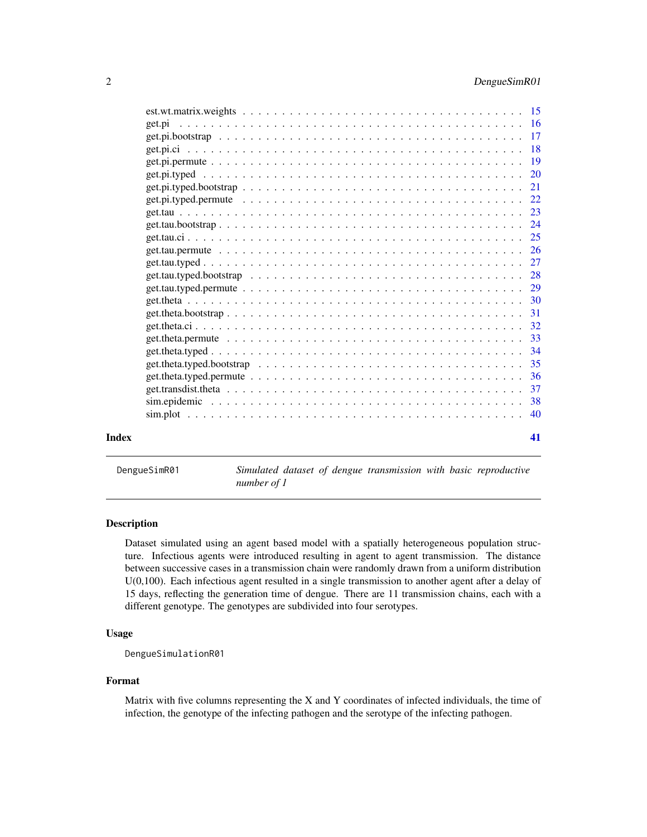<span id="page-1-0"></span>

| Index | 41 |
|-------|----|

DengueSimR01 *Simulated dataset of dengue transmission with basic reproductive number of 1*

### Description

Dataset simulated using an agent based model with a spatially heterogeneous population structure. Infectious agents were introduced resulting in agent to agent transmission. The distance between successive cases in a transmission chain were randomly drawn from a uniform distribution U(0,100). Each infectious agent resulted in a single transmission to another agent after a delay of 15 days, reflecting the generation time of dengue. There are 11 transmission chains, each with a different genotype. The genotypes are subdivided into four serotypes.

### Usage

DengueSimulationR01

### Format

Matrix with five columns representing the X and Y coordinates of infected individuals, the time of infection, the genotype of the infecting pathogen and the serotype of the infecting pathogen.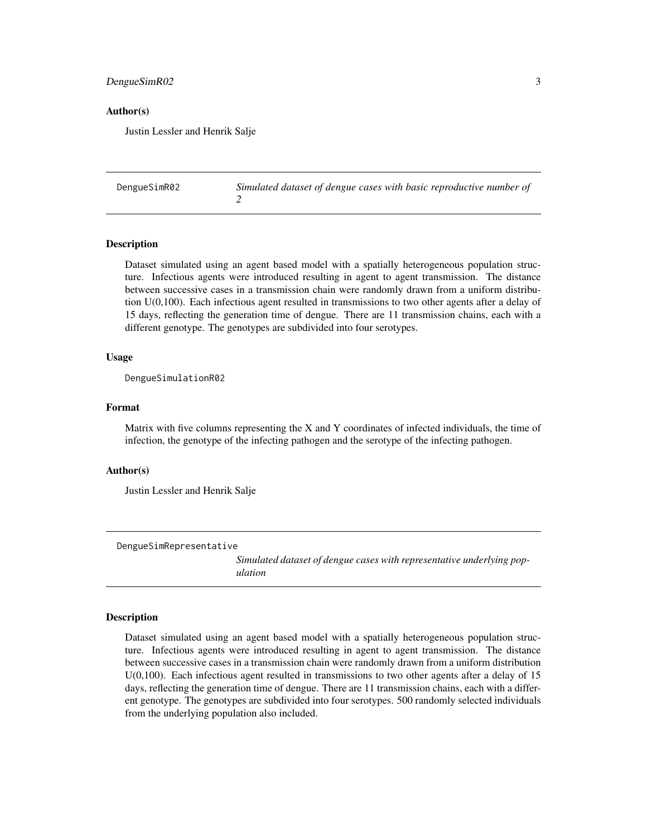### <span id="page-2-0"></span>DengueSimR02 3

#### Author(s)

Justin Lessler and Henrik Salje

| DengueSimR02 | Simulated dataset of dengue cases with basic reproductive number of |
|--------------|---------------------------------------------------------------------|
|              |                                                                     |

#### Description

Dataset simulated using an agent based model with a spatially heterogeneous population structure. Infectious agents were introduced resulting in agent to agent transmission. The distance between successive cases in a transmission chain were randomly drawn from a uniform distribution U(0,100). Each infectious agent resulted in transmissions to two other agents after a delay of 15 days, reflecting the generation time of dengue. There are 11 transmission chains, each with a different genotype. The genotypes are subdivided into four serotypes.

#### Usage

DengueSimulationR02

### Format

Matrix with five columns representing the X and Y coordinates of infected individuals, the time of infection, the genotype of the infecting pathogen and the serotype of the infecting pathogen.

#### Author(s)

Justin Lessler and Henrik Salje

DengueSimRepresentative

*Simulated dataset of dengue cases with representative underlying population*

#### **Description**

Dataset simulated using an agent based model with a spatially heterogeneous population structure. Infectious agents were introduced resulting in agent to agent transmission. The distance between successive cases in a transmission chain were randomly drawn from a uniform distribution U(0,100). Each infectious agent resulted in transmissions to two other agents after a delay of 15 days, reflecting the generation time of dengue. There are 11 transmission chains, each with a different genotype. The genotypes are subdivided into four serotypes. 500 randomly selected individuals from the underlying population also included.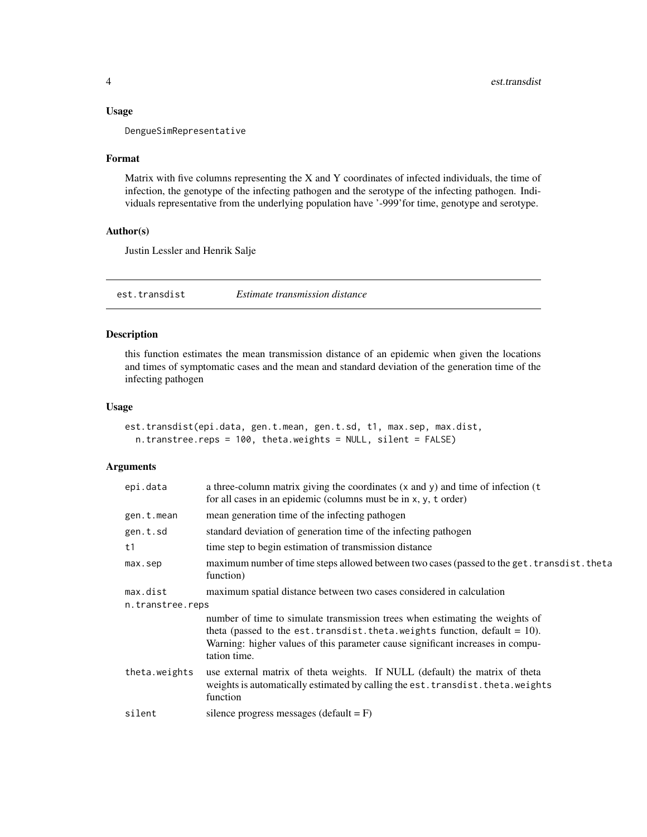<span id="page-3-0"></span>DengueSimRepresentative

#### Format

Matrix with five columns representing the X and Y coordinates of infected individuals, the time of infection, the genotype of the infecting pathogen and the serotype of the infecting pathogen. Individuals representative from the underlying population have '-999'for time, genotype and serotype.

### Author(s)

Justin Lessler and Henrik Salje

<span id="page-3-1"></span>est.transdist *Estimate transmission distance*

#### Description

this function estimates the mean transmission distance of an epidemic when given the locations and times of symptomatic cases and the mean and standard deviation of the generation time of the infecting pathogen

#### Usage

```
est.transdist(epi.data, gen.t.mean, gen.t.sd, t1, max.sep, max.dist,
  n.transtree.reps = 100, theta.weights = NULL, silent = FALSE)
```
### Arguments

| epi.data         | a three-column matrix giving the coordinates $(x$ and $y)$ and time of infection $(t)$<br>for all cases in an epidemic (columns must be in $x, y, t$ order)                                                                                                       |  |
|------------------|-------------------------------------------------------------------------------------------------------------------------------------------------------------------------------------------------------------------------------------------------------------------|--|
| gen.t.mean       | mean generation time of the infecting pathogen                                                                                                                                                                                                                    |  |
| gen.t.sd         | standard deviation of generation time of the infecting pathogen                                                                                                                                                                                                   |  |
| t1               | time step to begin estimation of transmission distance                                                                                                                                                                                                            |  |
| max.sep          | maximum number of time steps allowed between two cases (passed to the get. transdist. theta<br>function)                                                                                                                                                          |  |
| max.dist         | maximum spatial distance between two cases considered in calculation                                                                                                                                                                                              |  |
| n.transtree.reps |                                                                                                                                                                                                                                                                   |  |
|                  | number of time to simulate transmission trees when estimating the weights of<br>theta (passed to the est. transdist. theta. weights function, default = $10$ ).<br>Warning: higher values of this parameter cause significant increases in compu-<br>tation time. |  |
| theta.weights    | use external matrix of theta weights. If NULL (default) the matrix of theta<br>weights is automatically estimated by calling the est. transdist. theta. weights<br>function                                                                                       |  |
| silent           | silence progress messages (default $=$ F)                                                                                                                                                                                                                         |  |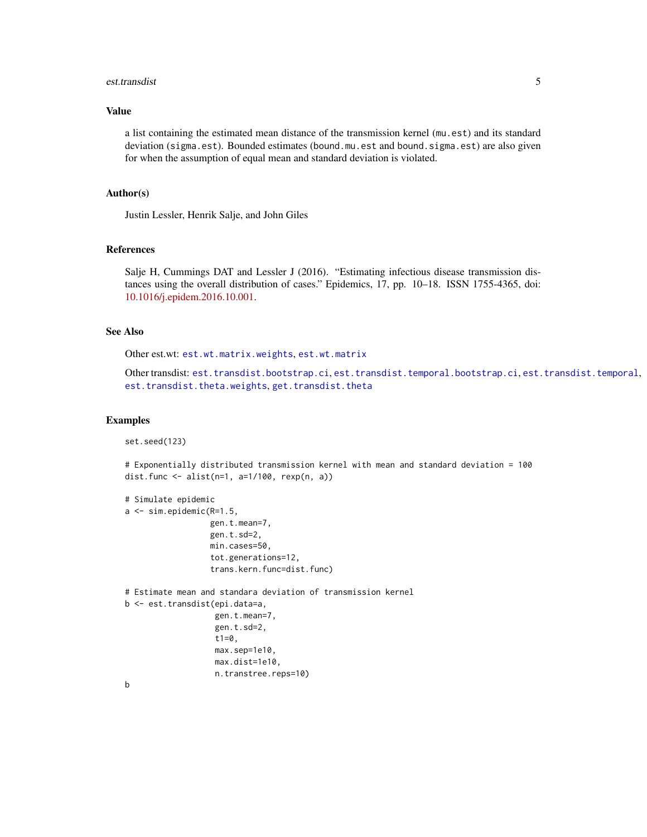#### <span id="page-4-0"></span>est.transdist 5

### Value

a list containing the estimated mean distance of the transmission kernel (mu.est) and its standard deviation (sigma.est). Bounded estimates (bound.mu.est and bound.sigma.est) are also given for when the assumption of equal mean and standard deviation is violated.

#### Author(s)

Justin Lessler, Henrik Salje, and John Giles

### References

Salje H, Cummings DAT and Lessler J (2016). "Estimating infectious disease transmission distances using the overall distribution of cases." Epidemics, 17, pp. 10–18. ISSN 1755-4365, doi: [10.1016/j.epidem.2016.10.001.](https://www.sciencedirect.com/science/article/pii/S1755436516300317)

### See Also

Other est.wt: [est.wt.matrix.weights](#page-14-1), [est.wt.matrix](#page-13-1)

Other transdist: [est.transdist.bootstrap.ci](#page-5-1), [est.transdist.temporal.bootstrap.ci](#page-9-1), [est.transdist.temporal](#page-7-1), [est.transdist.theta.weights](#page-11-1), [get.transdist.theta](#page-36-1)

#### Examples

```
set.seed(123)
```
# Exponentially distributed transmission kernel with mean and standard deviation = 100 dist.func <- alist(n=1, a=1/100, rexp(n, a))

```
# Simulate epidemic
a <- sim.epidemic(R=1.5,
                  gen.t.mean=7,
                  gen.t.sd=2,
                  min.cases=50,
                  tot.generations=12,
                  trans.kern.func=dist.func)
# Estimate mean and standara deviation of transmission kernel
b <- est.transdist(epi.data=a,
                   gen.t.mean=7,
                   gen.t.sd=2,
                   t1=0,
                   max.sep=1e10,
                   max.dist=1e10,
                   n.transtree.reps=10)
```
b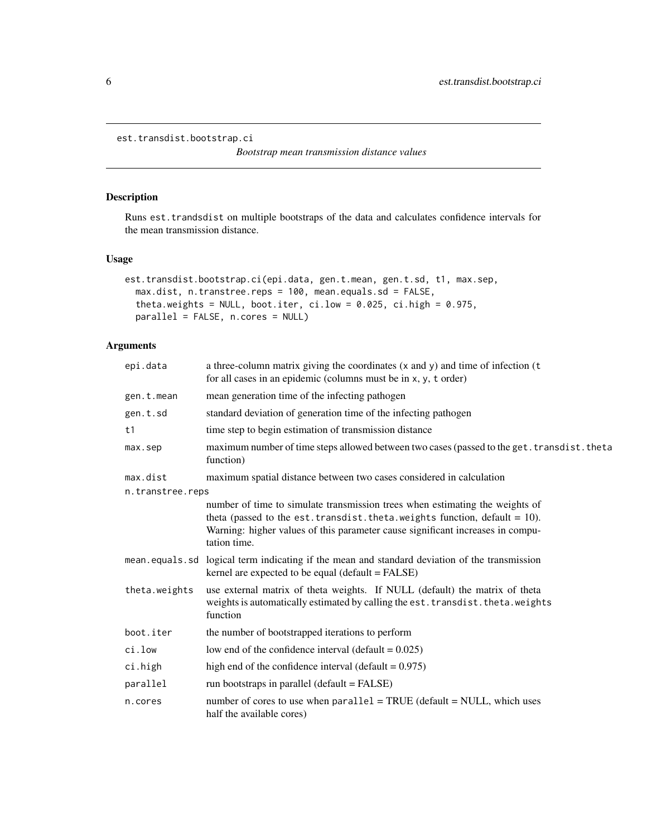```
est.transdist.bootstrap.ci
```
*Bootstrap mean transmission distance values*

### Description

Runs est.trandsdist on multiple bootstraps of the data and calculates confidence intervals for the mean transmission distance.

### Usage

```
est.transdist.bootstrap.ci(epi.data, gen.t.mean, gen.t.sd, t1, max.sep,
 max.dist, n.transtree.reps = 100, mean.equals.sd = FALSE,
  theta.weights = NULL, boot.iter, ci.lower = 0.025, ci .high = 0.975,
 parallel = FALSE, n.cores = NULL)
```
### Arguments

| epi.data         | a three-column matrix giving the coordinates (x and y) and time of infection (t<br>for all cases in an epidemic (columns must be in x, y, t order)                                                                                                                |
|------------------|-------------------------------------------------------------------------------------------------------------------------------------------------------------------------------------------------------------------------------------------------------------------|
| gen.t.mean       | mean generation time of the infecting pathogen                                                                                                                                                                                                                    |
| gen.t.sd         | standard deviation of generation time of the infecting pathogen                                                                                                                                                                                                   |
| t1               | time step to begin estimation of transmission distance                                                                                                                                                                                                            |
| max.sep          | maximum number of time steps allowed between two cases (passed to the get. transdist. theta<br>function)                                                                                                                                                          |
| max.dist         | maximum spatial distance between two cases considered in calculation                                                                                                                                                                                              |
| n.transtree.reps |                                                                                                                                                                                                                                                                   |
|                  | number of time to simulate transmission trees when estimating the weights of<br>theta (passed to the est. transdist. theta. weights function, default = $10$ ).<br>Warning: higher values of this parameter cause significant increases in compu-<br>tation time. |
|                  | mean equals sd logical term indicating if the mean and standard deviation of the transmission<br>kernel are expected to be equal (default = FALSE)                                                                                                                |
| theta.weights    | use external matrix of theta weights. If NULL (default) the matrix of theta<br>weights is automatically estimated by calling the est. transdist. theta. weights<br>function                                                                                       |
| boot.iter        | the number of bootstrapped iterations to perform                                                                                                                                                                                                                  |
| ci.low           | low end of the confidence interval (default = $0.025$ )                                                                                                                                                                                                           |
| ci.high          | high end of the confidence interval (default = $0.975$ )                                                                                                                                                                                                          |
| parallel         | run bootstraps in parallel (default = FALSE)                                                                                                                                                                                                                      |
| n.cores          | number of cores to use when $parallel = TRUE$ (default = NULL, which uses<br>half the available cores)                                                                                                                                                            |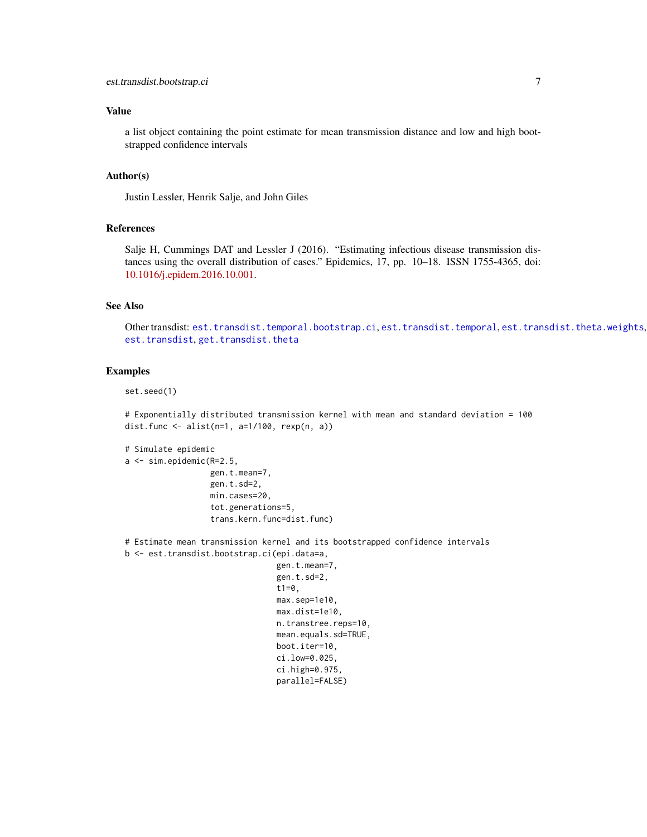<span id="page-6-0"></span>a list object containing the point estimate for mean transmission distance and low and high bootstrapped confidence intervals

#### Author(s)

Justin Lessler, Henrik Salje, and John Giles

#### References

Salje H, Cummings DAT and Lessler J (2016). "Estimating infectious disease transmission distances using the overall distribution of cases." Epidemics, 17, pp. 10–18. ISSN 1755-4365, doi: [10.1016/j.epidem.2016.10.001.](https://www.sciencedirect.com/science/article/pii/S1755436516300317)

#### See Also

Other transdist: [est.transdist.temporal.bootstrap.ci](#page-9-1), [est.transdist.temporal](#page-7-1), [est.transdist.theta.weights](#page-11-1), [est.transdist](#page-3-1), [get.transdist.theta](#page-36-1)

### Examples

```
set.seed(1)
```
# Exponentially distributed transmission kernel with mean and standard deviation = 100 dist.func <- alist(n=1, a=1/100, rexp(n, a))

```
# Simulate epidemic
a <- sim.epidemic(R=2.5,
                  gen.t.mean=7,
                  gen.t.sd=2,
                  min.cases=20,
                  tot.generations=5,
                  trans.kern.func=dist.func)
# Estimate mean transmission kernel and its bootstrapped confidence intervals
b <- est.transdist.bootstrap.ci(epi.data=a,
```

```
gen.t.mean=7,
gen.t.sd=2,
t1=0,
max.sep=1e10,
max.dist=1e10,
n.transtree.reps=10,
mean.equals.sd=TRUE,
boot.iter=10,
ci.low=0.025,
ci.high=0.975,
parallel=FALSE)
```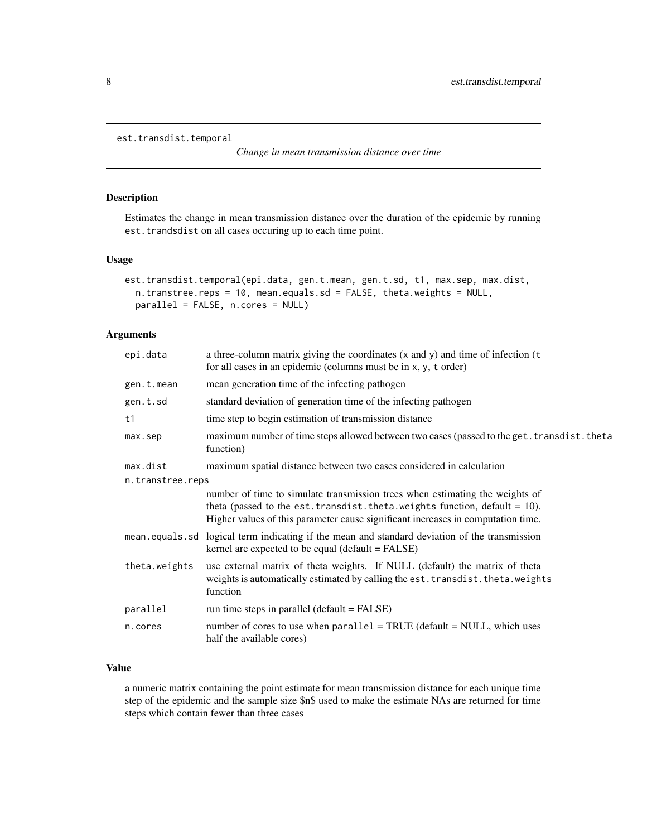```
est.transdist.temporal
```
*Change in mean transmission distance over time*

### Description

Estimates the change in mean transmission distance over the duration of the epidemic by running est.trandsdist on all cases occuring up to each time point.

#### Usage

```
est.transdist.temporal(epi.data, gen.t.mean, gen.t.sd, t1, max.sep, max.dist,
 n.transtree.reps = 10, mean.equals.sd = FALSE, theta.weights = NULL,
 parallel = FALSE, n.cores = NULL)
```
### Arguments

| epi.data         | a three-column matrix giving the coordinates (x and y) and time of infection (t<br>for all cases in an epidemic (columns must be in x, y, t order)                                                                                                  |  |
|------------------|-----------------------------------------------------------------------------------------------------------------------------------------------------------------------------------------------------------------------------------------------------|--|
| gen.t.mean       | mean generation time of the infecting pathogen                                                                                                                                                                                                      |  |
| gen.t.sd         | standard deviation of generation time of the infecting pathogen                                                                                                                                                                                     |  |
| t1               | time step to begin estimation of transmission distance                                                                                                                                                                                              |  |
| max.sep          | maximum number of time steps allowed between two cases (passed to the get. transdist. theta<br>function)                                                                                                                                            |  |
| max.dist         | maximum spatial distance between two cases considered in calculation                                                                                                                                                                                |  |
| n.transtree.reps |                                                                                                                                                                                                                                                     |  |
|                  | number of time to simulate transmission trees when estimating the weights of<br>theta (passed to the est. transdist. theta. weights function, default = $10$ ).<br>Higher values of this parameter cause significant increases in computation time. |  |
|                  | mean. equals. sd logical term indicating if the mean and standard deviation of the transmission<br>kernel are expected to be equal (default = FALSE)                                                                                                |  |
| theta.weights    | use external matrix of theta weights. If NULL (default) the matrix of theta<br>weights is automatically estimated by calling the est. transdist. theta. weights<br>function                                                                         |  |
| parallel         | run time steps in parallel ( $default = FALSE$ )                                                                                                                                                                                                    |  |
| n.cores          | number of cores to use when $parallel = TRUE$ (default = NULL, which uses<br>half the available cores)                                                                                                                                              |  |

### Value

a numeric matrix containing the point estimate for mean transmission distance for each unique time step of the epidemic and the sample size \$n\$ used to make the estimate NAs are returned for time steps which contain fewer than three cases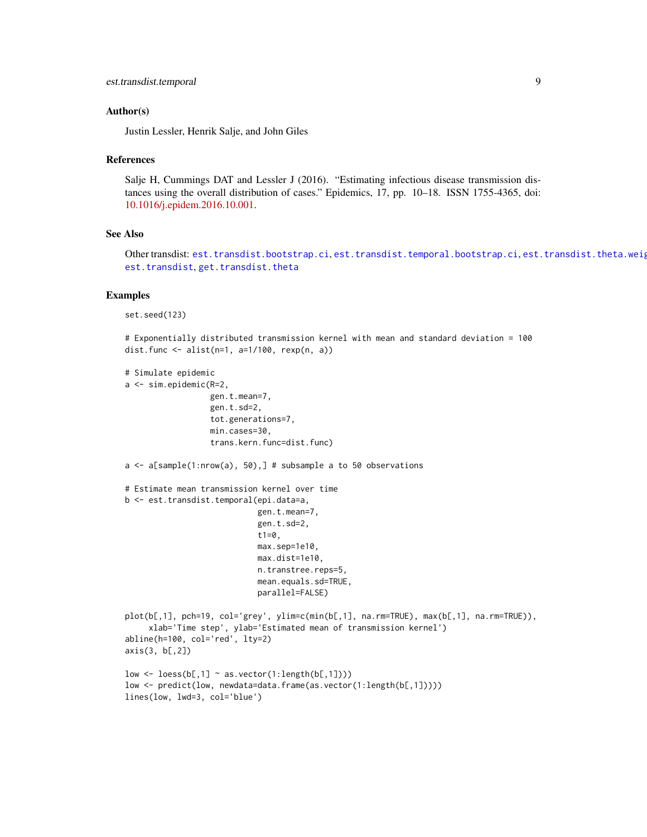#### <span id="page-8-0"></span>Author(s)

Justin Lessler, Henrik Salje, and John Giles

#### References

Salje H, Cummings DAT and Lessler J (2016). "Estimating infectious disease transmission distances using the overall distribution of cases." Epidemics, 17, pp. 10–18. ISSN 1755-4365, doi: [10.1016/j.epidem.2016.10.001.](https://www.sciencedirect.com/science/article/pii/S1755436516300317)

#### See Also

Other transdist: [est.transdist.bootstrap.ci](#page-5-1), [est.transdist.temporal.bootstrap.ci](#page-9-1), est.transdist.theta.weig [est.transdist](#page-3-1), [get.transdist.theta](#page-36-1)

#### Examples

set.seed(123)

```
# Exponentially distributed transmission kernel with mean and standard deviation = 100
dist.func <- alist(n=1, a=1/100, rexp(n, a))
```

```
# Simulate epidemic
a <- sim.epidemic(R=2,
```

```
gen.t.mean=7,
gen.t.sd=2,
tot.generations=7,
min.cases=30,
trans.kern.func=dist.func)
```

```
a \leq a[sample(1:nrow(a), 50),] # subsample a to 50 observations
```

```
# Estimate mean transmission kernel over time
b <- est.transdist.temporal(epi.data=a,
                            gen.t.mean=7,
                            gen.t.sd=2,
                            t1=0,
                            max.sep=1e10,
                            max.dist=1e10,
                            n.transtree.reps=5,
                            mean.equals.sd=TRUE,
                            parallel=FALSE)
plot(b[,1], pch=19, col='grey', ylim=c(min(b[,1], na.rm=TRUE), max(b[,1], na.rm=TRUE)),
     xlab='Time step', ylab='Estimated mean of transmission kernel')
abline(h=100, col='red', lty=2)
axis(3, b[,2])
low \leq loess(b[,1] \sim as.vector(1:length(b[,1])))
```

```
low <- predict(low, newdata=data.frame(as.vector(1:length(b[,1]))))
lines(low, lwd=3, col='blue')
```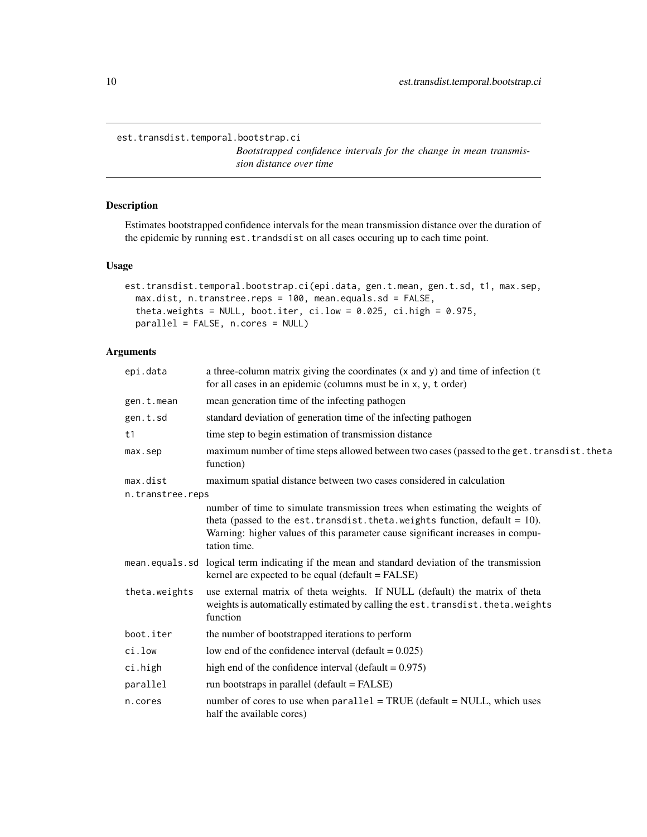<span id="page-9-1"></span><span id="page-9-0"></span>est.transdist.temporal.bootstrap.ci

*Bootstrapped confidence intervals for the change in mean transmission distance over time*

### Description

Estimates bootstrapped confidence intervals for the mean transmission distance over the duration of the epidemic by running est.trandsdist on all cases occuring up to each time point.

#### Usage

```
est.transdist.temporal.bootstrap.ci(epi.data, gen.t.mean, gen.t.sd, t1, max.sep,
 max.dist, n.transtree.reps = 100, mean.equals.sd = FALSE,
  theta.weights = NULL, boot.iter, ci.low = 0.025, ci.high = 0.975,
 parallel = FALSE, n.cores = NULL)
```
#### Arguments

| epi.data         | a three-column matrix giving the coordinates (x and y) and time of infection (t<br>for all cases in an epidemic (columns must be in x, y, t order)                                                                                                                |
|------------------|-------------------------------------------------------------------------------------------------------------------------------------------------------------------------------------------------------------------------------------------------------------------|
| gen.t.mean       | mean generation time of the infecting pathogen                                                                                                                                                                                                                    |
| gen.t.sd         | standard deviation of generation time of the infecting pathogen                                                                                                                                                                                                   |
| t1               | time step to begin estimation of transmission distance                                                                                                                                                                                                            |
| max.sep          | maximum number of time steps allowed between two cases (passed to the get. transdist. theta<br>function)                                                                                                                                                          |
| max.dist         | maximum spatial distance between two cases considered in calculation                                                                                                                                                                                              |
| n.transtree.reps |                                                                                                                                                                                                                                                                   |
|                  | number of time to simulate transmission trees when estimating the weights of<br>theta (passed to the est. transdist. theta. weights function, default = $10$ ).<br>Warning: higher values of this parameter cause significant increases in compu-<br>tation time. |
|                  | mean equals sd logical term indicating if the mean and standard deviation of the transmission<br>kernel are expected to be equal (default = FALSE)                                                                                                                |
| theta.weights    | use external matrix of theta weights. If NULL (default) the matrix of theta<br>weights is automatically estimated by calling the est. transdist. theta. weights<br>function                                                                                       |
| boot.iter        | the number of bootstrapped iterations to perform                                                                                                                                                                                                                  |
| ci.low           | low end of the confidence interval (default = $0.025$ )                                                                                                                                                                                                           |
| ci.high          | high end of the confidence interval (default = $0.975$ )                                                                                                                                                                                                          |
| parallel         | run bootstraps in parallel (default = FALSE)                                                                                                                                                                                                                      |
| n.cores          | number of cores to use when $parallel = TRUE$ (default = NULL, which uses<br>half the available cores)                                                                                                                                                            |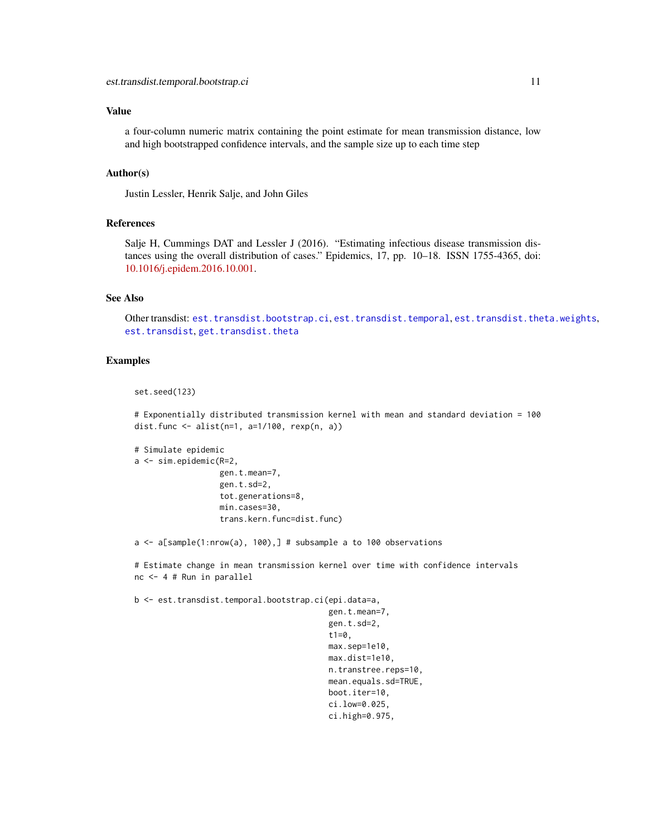<span id="page-10-0"></span>a four-column numeric matrix containing the point estimate for mean transmission distance, low and high bootstrapped confidence intervals, and the sample size up to each time step

### Author(s)

Justin Lessler, Henrik Salje, and John Giles

#### References

Salje H, Cummings DAT and Lessler J (2016). "Estimating infectious disease transmission distances using the overall distribution of cases." Epidemics, 17, pp. 10–18. ISSN 1755-4365, doi: [10.1016/j.epidem.2016.10.001.](https://www.sciencedirect.com/science/article/pii/S1755436516300317)

### See Also

Other transdist: [est.transdist.bootstrap.ci](#page-5-1), [est.transdist.temporal](#page-7-1), [est.transdist.theta.weights](#page-11-1), [est.transdist](#page-3-1), [get.transdist.theta](#page-36-1)

### Examples

```
set.seed(123)
```
# Exponentially distributed transmission kernel with mean and standard deviation = 100 dist.func  $\leq$  alist(n=1, a=1/100, rexp(n, a))

```
# Simulate epidemic
a <- sim.epidemic(R=2,
                  gen.t.mean=7,
                  gen.t.sd=2,
                  tot.generations=8,
                  min.cases=30,
                  trans.kern.func=dist.func)
```
a <- a[sample(1:nrow(a), 100),] # subsample a to 100 observations

# Estimate change in mean transmission kernel over time with confidence intervals nc <- 4 # Run in parallel

b <- est.transdist.temporal.bootstrap.ci(epi.data=a,

gen.t.mean=7, gen.t.sd=2, t $1=0$ , max.sep=1e10, max.dist=1e10, n.transtree.reps=10, mean.equals.sd=TRUE, boot.iter=10, ci.low=0.025, ci.high=0.975,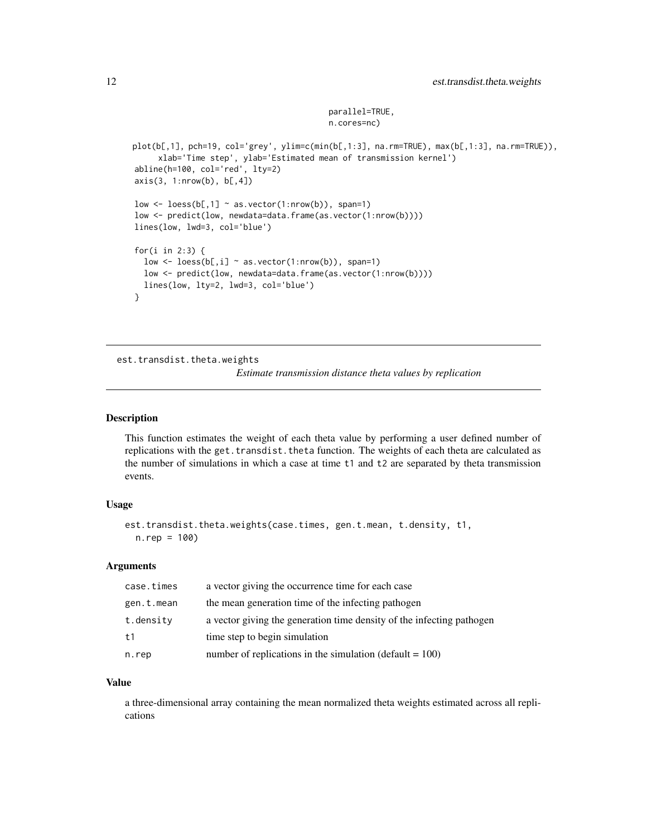```
parallel=TRUE,
n.cores=nc)
```

```
plot(b[,1], pch=19, col='grey', ylim=c(min(b[,1:3], na.rm=TRUE), max(b[,1:3], na.rm=TRUE)),
     xlab='Time step', ylab='Estimated mean of transmission kernel')
abline(h=100, col='red', lty=2)
axis(3, 1: nrow(b), b[, 4])low \leq loess(b[,1] \sim as.vector(1:nrow(b)), span=1)
low <- predict(low, newdata=data.frame(as.vector(1:nrow(b))))
lines(low, lwd=3, col='blue')
for(i in 2:3) {
  low \leq loess(b[,i] \sim as.vector(1:nrow(b)), span=1)
  low <- predict(low, newdata=data.frame(as.vector(1:nrow(b))))
  lines(low, lty=2, lwd=3, col='blue')
}
```
<span id="page-11-1"></span>est.transdist.theta.weights

*Estimate transmission distance theta values by replication*

#### **Description**

This function estimates the weight of each theta value by performing a user defined number of replications with the get.transdist.theta function. The weights of each theta are calculated as the number of simulations in which a case at time t1 and t2 are separated by theta transmission events.

#### Usage

```
est.transdist.theta.weights(case.times, gen.t.mean, t.density, t1,
 n.rep = 100)
```
#### Arguments

| case.times | a vector giving the occurrence time for each case                     |
|------------|-----------------------------------------------------------------------|
| gen.t.mean | the mean generation time of the infecting pathogen                    |
| t.density  | a vector giving the generation time density of the infecting pathogen |
| t1         | time step to begin simulation                                         |
| n.rep      | number of replications in the simulation (default $= 100$ )           |

#### Value

a three-dimensional array containing the mean normalized theta weights estimated across all replications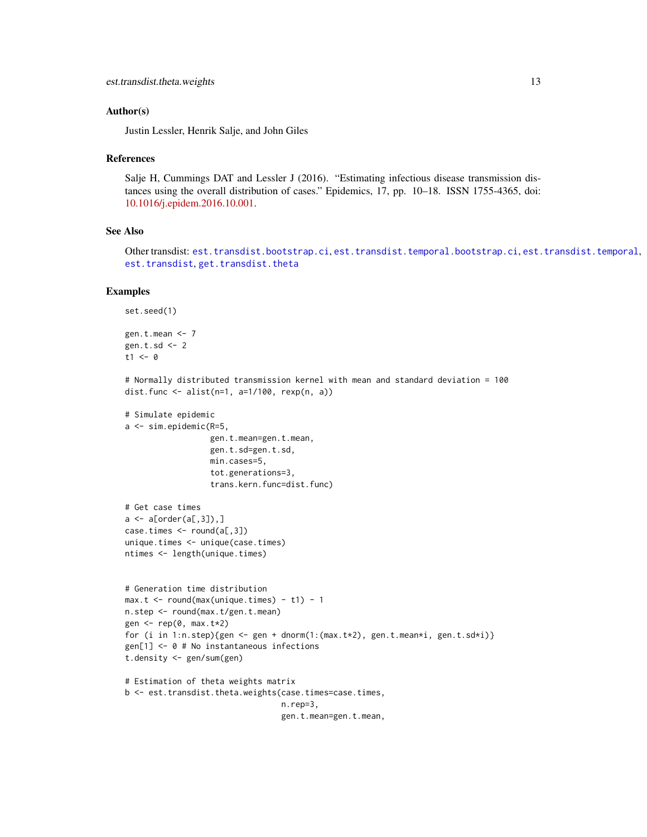#### <span id="page-12-0"></span>Author(s)

Justin Lessler, Henrik Salje, and John Giles

#### References

Salje H, Cummings DAT and Lessler J (2016). "Estimating infectious disease transmission distances using the overall distribution of cases." Epidemics, 17, pp. 10–18. ISSN 1755-4365, doi: [10.1016/j.epidem.2016.10.001.](https://www.sciencedirect.com/science/article/pii/S1755436516300317)

### See Also

Other transdist: [est.transdist.bootstrap.ci](#page-5-1), [est.transdist.temporal.bootstrap.ci](#page-9-1), [est.transdist.temporal](#page-7-1), [est.transdist](#page-3-1), [get.transdist.theta](#page-36-1)

#### Examples

```
set.seed(1)
```

```
gen.t.mean <- 7
gen.t.sd \leq -2t1 < -0
```

```
# Normally distributed transmission kernel with mean and standard deviation = 100
dist.func <- alist(n=1, a=1/100, rexp(n, a))
```

```
# Simulate epidemic
a <- sim.epidemic(R=5,
                  gen.t.mean=gen.t.mean,
                  gen.t.sd=gen.t.sd,
                  min.cases=5,
                  tot.generations=3,
                  trans.kern.func=dist.func)
```

```
# Get case times
a \leq a[order(a[,3]),]
case.times <- round(a[,3])
unique.times <- unique(case.times)
ntimes <- length(unique.times)
```

```
# Generation time distribution
max.t < - round(max(unique.time) - t1) - 1n.step <- round(max.t/gen.t.mean)
gen <- rep(0, max.t*2)
for (i in 1:n.step){gen <- gen + dnorm(1:(max.t*2), gen.t.mean*i, gen.t.sd*i)}
gen[1] <- 0 # No instantaneous infections
t.density <- gen/sum(gen)
# Estimation of theta weights matrix
```

```
b <- est.transdist.theta.weights(case.times=case.times,
                                 n.rep=3,
                                 gen.t.mean=gen.t.mean,
```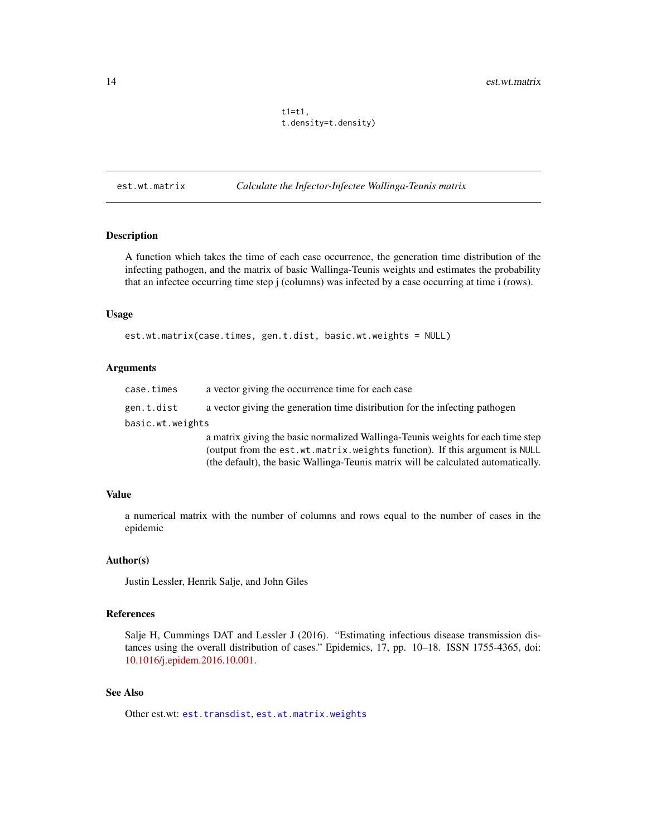$t1=t1$ , t.density=t.density)

<span id="page-13-1"></span><span id="page-13-0"></span>est.wt.matrix *Calculate the Infector-Infectee Wallinga-Teunis matrix*

#### Description

A function which takes the time of each case occurrence, the generation time distribution of the infecting pathogen, and the matrix of basic Wallinga-Teunis weights and estimates the probability that an infectee occurring time step j (columns) was infected by a case occurring at time i (rows).

#### Usage

```
est.wt.matrix(case.times, gen.t.dist, basic.wt.weights = NULL)
```
#### Arguments

| case.times       | a vector giving the occurrence time for each case                                 |
|------------------|-----------------------------------------------------------------------------------|
| gen.t.dist       | a vector giving the generation time distribution for the infecting pathogen       |
| basic.wt.weights |                                                                                   |
|                  | a matrix giving the basic normalized Wallinga-Teunis weights for each time step   |
|                  | (output from the est.wt.matrix.weights function). If this argument is NULL        |
|                  | (the default), the basic Wallinga-Teunis matrix will be calculated automatically. |

### Value

a numerical matrix with the number of columns and rows equal to the number of cases in the epidemic

#### Author(s)

Justin Lessler, Henrik Salje, and John Giles

#### References

Salje H, Cummings DAT and Lessler J (2016). "Estimating infectious disease transmission distances using the overall distribution of cases." Epidemics, 17, pp. 10–18. ISSN 1755-4365, doi: [10.1016/j.epidem.2016.10.001.](https://www.sciencedirect.com/science/article/pii/S1755436516300317)

### See Also

Other est.wt: [est.transdist](#page-3-1), [est.wt.matrix.weights](#page-14-1)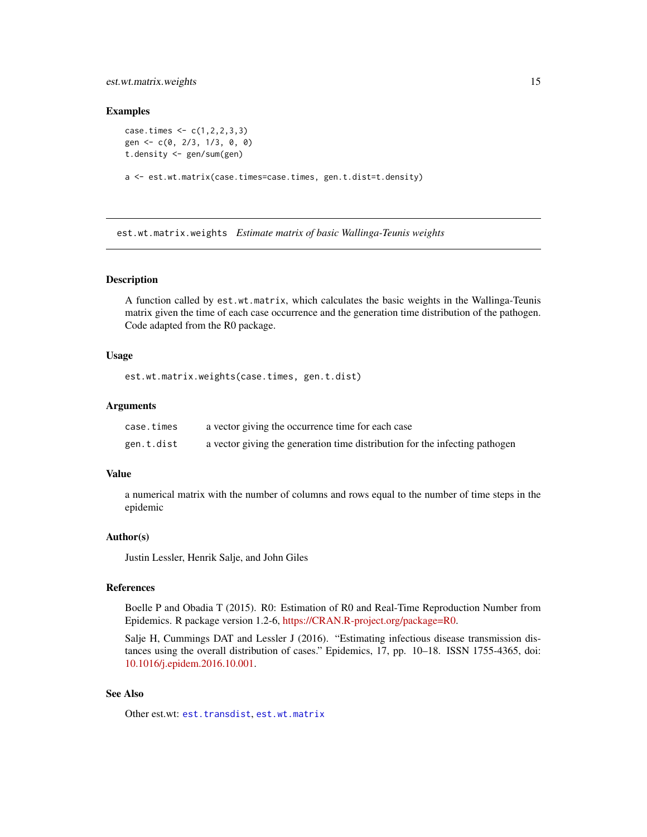### <span id="page-14-0"></span>est.wt.matrix.weights 15

#### Examples

```
case.times < -c(1,2,2,3,3)gen <- c(0, 2/3, 1/3, 0, 0)
t.density <- gen/sum(gen)
a <- est.wt.matrix(case.times=case.times, gen.t.dist=t.density)
```
<span id="page-14-1"></span>est.wt.matrix.weights *Estimate matrix of basic Wallinga-Teunis weights*

### Description

A function called by est.wt.matrix, which calculates the basic weights in the Wallinga-Teunis matrix given the time of each case occurrence and the generation time distribution of the pathogen. Code adapted from the R0 package.

#### Usage

est.wt.matrix.weights(case.times, gen.t.dist)

#### Arguments

| case.times | a vector giving the occurrence time for each case                           |
|------------|-----------------------------------------------------------------------------|
| gen.t.dist | a vector giving the generation time distribution for the infecting pathogen |

#### Value

a numerical matrix with the number of columns and rows equal to the number of time steps in the epidemic

#### Author(s)

Justin Lessler, Henrik Salje, and John Giles

### References

Boelle P and Obadia T (2015). R0: Estimation of R0 and Real-Time Reproduction Number from Epidemics. R package version 1.2-6, [https://CRAN.R-project.org/package=R0.](https://CRAN.R-project.org/package=R0)

Salje H, Cummings DAT and Lessler J (2016). "Estimating infectious disease transmission distances using the overall distribution of cases." Epidemics, 17, pp. 10–18. ISSN 1755-4365, doi: [10.1016/j.epidem.2016.10.001.](https://www.sciencedirect.com/science/article/pii/S1755436516300317)

### See Also

Other est.wt: [est.transdist](#page-3-1), [est.wt.matrix](#page-13-1)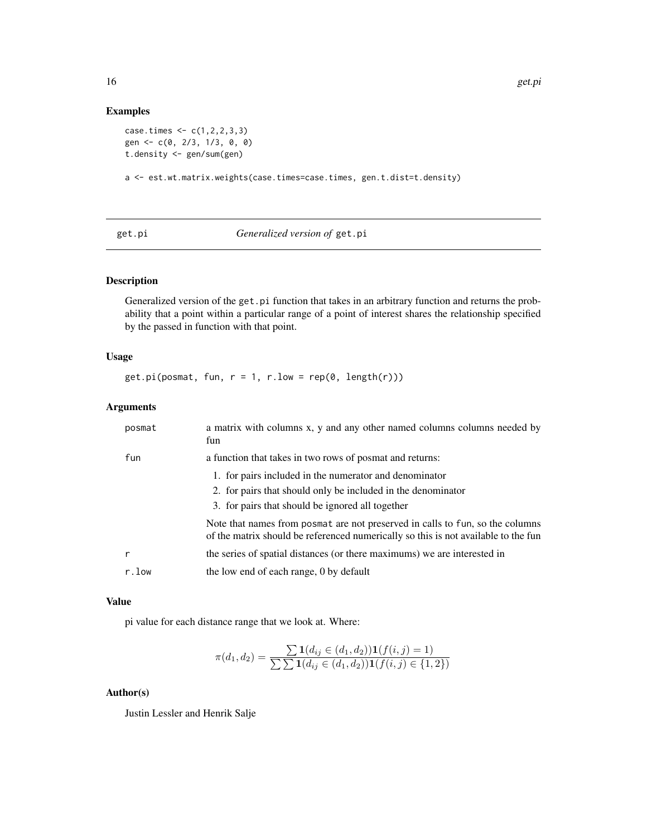### Examples

```
case.times < c(1,2,2,3,3)gen <- c(0, 2/3, 1/3, 0, 0)
t.density <- gen/sum(gen)
```
a <- est.wt.matrix.weights(case.times=case.times, gen.t.dist=t.density)

<span id="page-15-1"></span>

### Generalized version of get.pi

### Description

Generalized version of the get.pi function that takes in an arbitrary function and returns the probability that a point within a particular range of a point of interest shares the relationship specified by the passed in function with that point.

### Usage

 $get.pi(posmat, fun, r = 1, r.low = rep(0, length(r)))$ 

### Arguments

| posmat | a matrix with columns x, y and any other named columns columns needed by<br>fun                                                                                     |
|--------|---------------------------------------------------------------------------------------------------------------------------------------------------------------------|
| fun    | a function that takes in two rows of posmat and returns:                                                                                                            |
|        | 1. for pairs included in the numerator and denominator                                                                                                              |
|        | 2. for pairs that should only be included in the denominator                                                                                                        |
|        | 3. for pairs that should be ignored all together                                                                                                                    |
|        | Note that names from posmat are not preserved in calls to fun, so the columns<br>of the matrix should be referenced numerically so this is not available to the fun |
|        | the series of spatial distances (or there maximums) we are interested in                                                                                            |
| r.low  | the low end of each range, 0 by default                                                                                                                             |

#### Value

pi value for each distance range that we look at. Where:

$$
\pi(d_1, d_2) = \frac{\sum \mathbf{1}(d_{ij} \in (d_1, d_2)) \mathbf{1}(f(i, j) = 1)}{\sum \sum \mathbf{1}(d_{ij} \in (d_1, d_2)) \mathbf{1}(f(i, j) \in \{1, 2\})}
$$

### Author(s)

<span id="page-15-0"></span>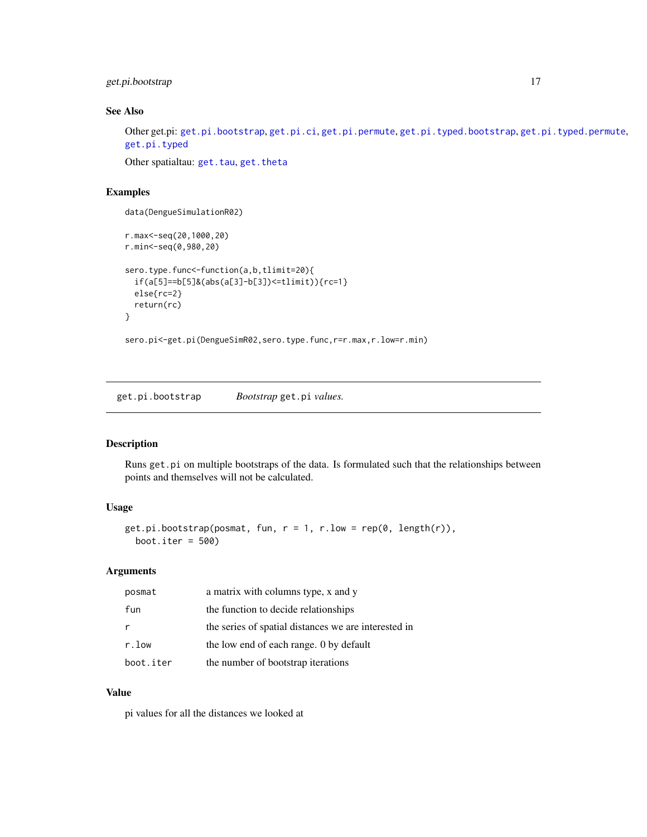<span id="page-16-0"></span>get.pi.bootstrap 17

### See Also

Other get.pi: [get.pi.bootstrap](#page-16-1), [get.pi.ci](#page-17-1), [get.pi.permute](#page-18-1), [get.pi.typed.bootstrap](#page-20-1), [get.pi.typed.permute](#page-21-1), [get.pi.typed](#page-19-1)

Other spatialtau: [get.tau](#page-22-1), [get.theta](#page-29-1)

### Examples

```
data(DengueSimulationR02)
r.max<-seq(20,1000,20)
r.min<-seq(0,980,20)
sero.type.func<-function(a,b,tlimit=20){
  if(a[5]==b[5]&(abs(a[3]-b[3])<=tlimit)){rc=1}
  else{rc=2}
  return(rc)
}
```
sero.pi<-get.pi(DengueSimR02,sero.type.func,r=r.max,r.low=r.min)

<span id="page-16-1"></span>get.pi.bootstrap *Bootstrap* get.pi *values.*

### Description

Runs get.pi on multiple bootstraps of the data. Is formulated such that the relationships between points and themselves will not be calculated.

#### Usage

```
get.pi.bootstrap(posmat, fun, r = 1, r.low = rep(0, length(r)),boot.iter = 500)
```
#### Arguments

| posmat    | a matrix with columns type, x and y                  |
|-----------|------------------------------------------------------|
| fun       | the function to decide relationships                 |
| r         | the series of spatial distances we are interested in |
| r.low     | the low end of each range. 0 by default              |
| boot.iter | the number of bootstrap iterations                   |

### Value

pi values for all the distances we looked at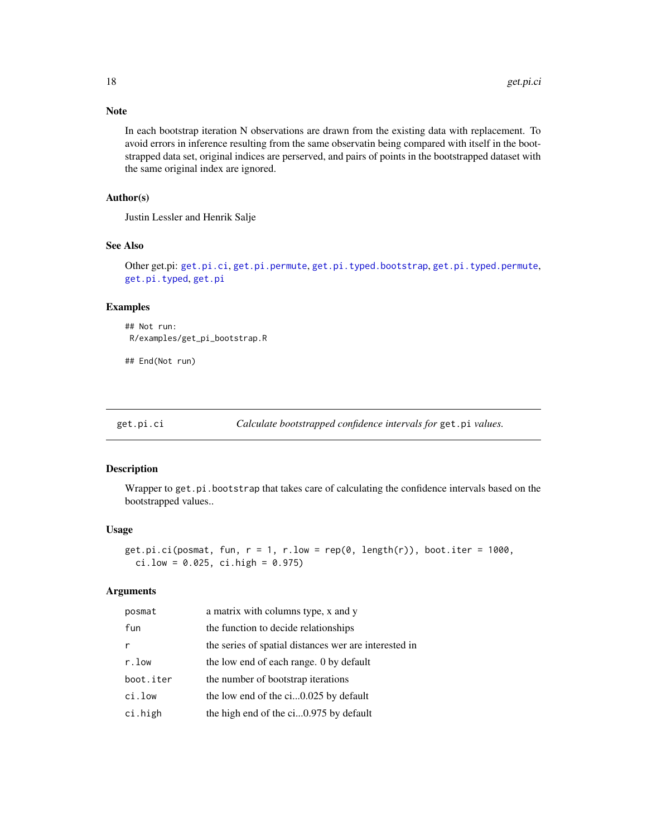### Note

In each bootstrap iteration N observations are drawn from the existing data with replacement. To avoid errors in inference resulting from the same observatin being compared with itself in the bootstrapped data set, original indices are perserved, and pairs of points in the bootstrapped dataset with the same original index are ignored.

### Author(s)

Justin Lessler and Henrik Salje

#### See Also

Other get.pi: [get.pi.ci](#page-17-1), [get.pi.permute](#page-18-1), [get.pi.typed.bootstrap](#page-20-1), [get.pi.typed.permute](#page-21-1), [get.pi.typed](#page-19-1), [get.pi](#page-15-1)

### Examples

## Not run: R/examples/get\_pi\_bootstrap.R

## End(Not run)

<span id="page-17-1"></span>get.pi.ci *Calculate bootstrapped confidence intervals for* get.pi *values.*

#### Description

Wrapper to get.pi.bootstrap that takes care of calculating the confidence intervals based on the bootstrapped values..

#### Usage

```
get.pi.ci(posmat, fun, r = 1, r.low = rep(0, length(r)), boot.iter = 1000,ci.low = 0.025, ci.high = 0.975)
```
#### Arguments

| posmat    | a matrix with columns type, x and y                   |
|-----------|-------------------------------------------------------|
| fun       | the function to decide relationships                  |
| r         | the series of spatial distances wer are interested in |
| r.low     | the low end of each range. 0 by default               |
| boot.iter | the number of bootstrap iterations                    |
| ci.low    | the low end of the ci0.025 by default                 |
| ci.high   | the high end of the ci0.975 by default                |

<span id="page-17-0"></span>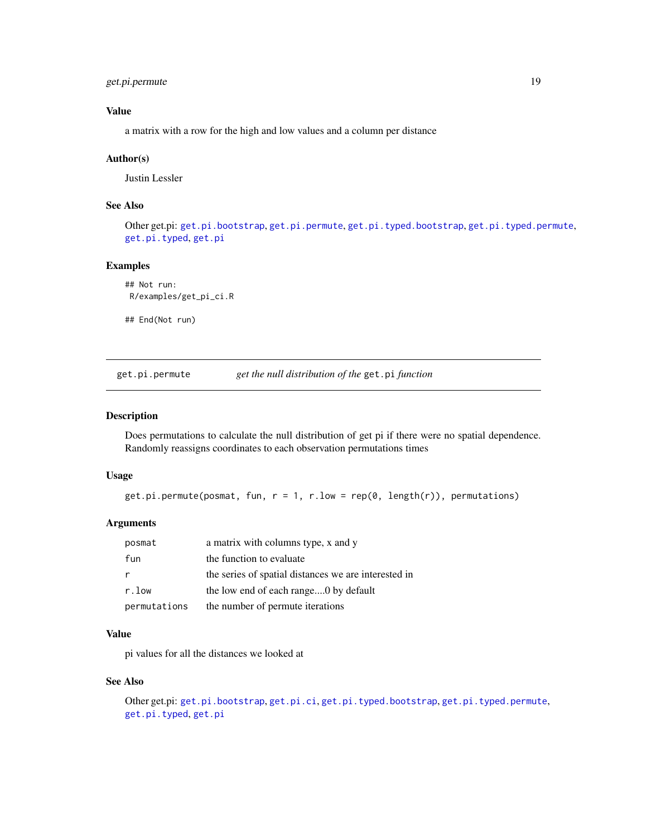### <span id="page-18-0"></span>get.pi.permute 19

### Value

a matrix with a row for the high and low values and a column per distance

#### Author(s)

Justin Lessler

### See Also

Other get.pi: [get.pi.bootstrap](#page-16-1), [get.pi.permute](#page-18-1), [get.pi.typed.bootstrap](#page-20-1), [get.pi.typed.permute](#page-21-1), [get.pi.typed](#page-19-1), [get.pi](#page-15-1)

### Examples

```
## Not run:
R/examples/get_pi_ci.R
```
## End(Not run)

<span id="page-18-1"></span>get.pi.permute *get the null distribution of the* get.pi *function*

#### Description

Does permutations to calculate the null distribution of get pi if there were no spatial dependence. Randomly reassigns coordinates to each observation permutations times

### Usage

get.pi.permute(posmat, fun,  $r = 1$ ,  $r.$  low =  $rep(0, length(r))$ , permutations)

### Arguments

| posmat       | a matrix with columns type, x and y                  |
|--------------|------------------------------------------------------|
| fun          | the function to evaluate                             |
|              | the series of spatial distances we are interested in |
| r.low        | the low end of each range0 by default                |
| permutations | the number of permute iterations                     |

### Value

pi values for all the distances we looked at

### See Also

```
Other get.pi: get.pi.bootstrap, get.pi.ci, get.pi.typed.bootstrap, get.pi.typed.permute,
get.pi.typed, get.pi
```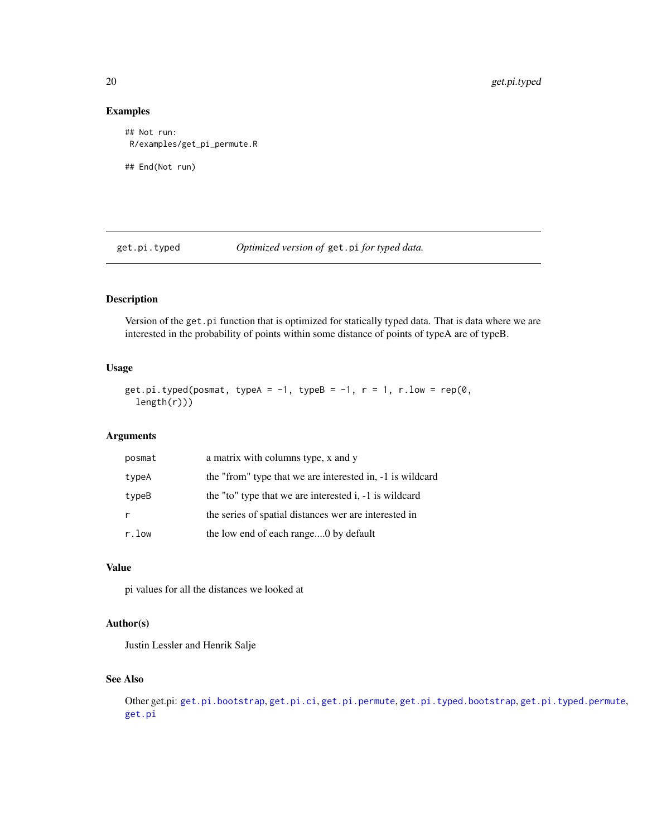### Examples

```
## Not run:
R/examples/get_pi_permute.R
## End(Not run)
```
<span id="page-19-1"></span>get.pi.typed *Optimized version of* get.pi *for typed data.*

### Description

Version of the get.pi function that is optimized for statically typed data. That is data where we are interested in the probability of points within some distance of points of typeA are of typeB.

### Usage

```
get.pi.typed(posmat, typeA = -1, typeB = -1, r = 1, r.low = rep(0,length(r)))
```
### Arguments

| posmat | a matrix with columns type, x and y                       |
|--------|-----------------------------------------------------------|
| typeA  | the "from" type that we are interested in, -1 is wildcard |
| typeB  | the "to" type that we are interested i, -1 is wildcard    |
|        | the series of spatial distances wer are interested in     |
| r.low  | the low end of each range0 by default                     |

### Value

pi values for all the distances we looked at

### Author(s)

Justin Lessler and Henrik Salje

### See Also

Other get.pi: [get.pi.bootstrap](#page-16-1), [get.pi.ci](#page-17-1), [get.pi.permute](#page-18-1), [get.pi.typed.bootstrap](#page-20-1), [get.pi.typed.permute](#page-21-1), [get.pi](#page-15-1)

<span id="page-19-0"></span>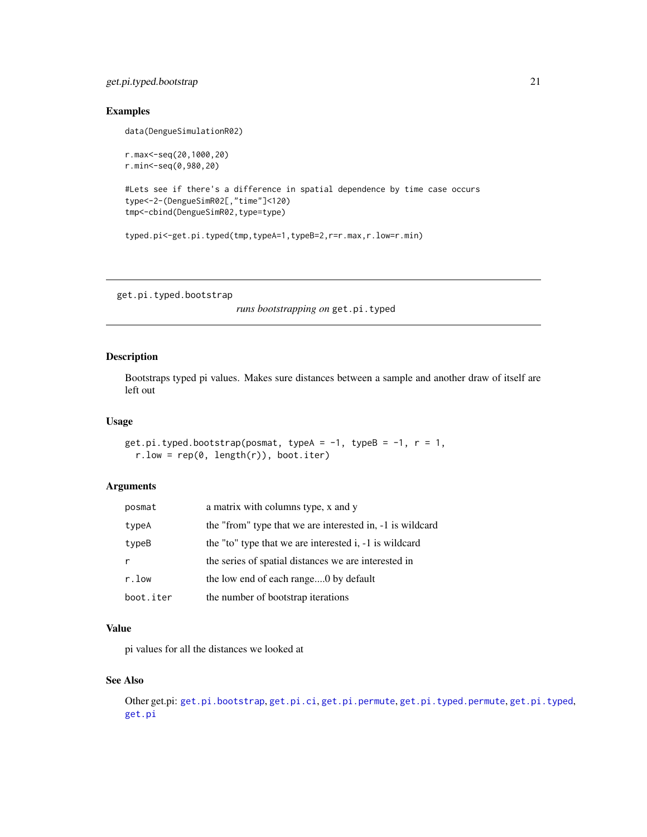### <span id="page-20-0"></span>get.pi.typed.bootstrap 21

### Examples

data(DengueSimulationR02)

```
r.max<-seq(20,1000,20)
r.min<-seq(0,980,20)
#Lets see if there's a difference in spatial dependence by time case occurs
type<-2-(DengueSimR02[,"time"]<120)
tmp<-cbind(DengueSimR02,type=type)
typed.pi<-get.pi.typed(tmp,typeA=1,typeB=2,r=r.max,r.low=r.min)
```
<span id="page-20-1"></span>get.pi.typed.bootstrap

*runs bootstrapping on* get.pi.typed

#### Description

Bootstraps typed pi values. Makes sure distances between a sample and another draw of itself are left out

#### Usage

```
get.pi.typed.bootstrap(posmat, typeA = -1, typeB = -1, r = 1,
  r.low = rep(0, length(r)), boot.iter)
```
#### Arguments

| posmat    | a matrix with columns type, x and y                       |
|-----------|-----------------------------------------------------------|
| typeA     | the "from" type that we are interested in, -1 is wildcard |
| typeB     | the "to" type that we are interested i, -1 is wildcard    |
|           | the series of spatial distances we are interested in      |
| r.low     | the low end of each range0 by default                     |
| boot.iter | the number of bootstrap iterations                        |

### Value

pi values for all the distances we looked at

### See Also

```
Other get.pi: get.pi.bootstrap, get.pi.ci, get.pi.permute, get.pi.typed.permute, get.pi.typed,
get.pi
```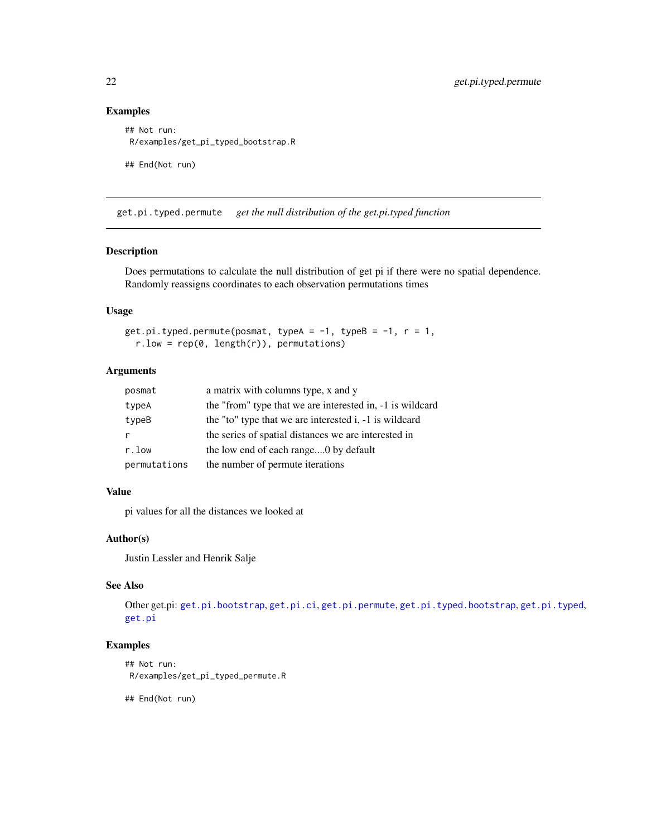### Examples

```
## Not run:
R/examples/get_pi_typed_bootstrap.R
## End(Not run)
```
<span id="page-21-1"></span>get.pi.typed.permute *get the null distribution of the get.pi.typed function*

### Description

Does permutations to calculate the null distribution of get pi if there were no spatial dependence. Randomly reassigns coordinates to each observation permutations times

#### Usage

```
get.pi.typed.permute(posmat, typeA = -1, typeB = -1, r = 1,
 r.low = rep(0, length(r)), permutations)
```
#### Arguments

| posmat       | a matrix with columns type, x and y                       |
|--------------|-----------------------------------------------------------|
| typeA        | the "from" type that we are interested in, -1 is wildcard |
| typeB        | the "to" type that we are interested i, -1 is wildcard    |
| r            | the series of spatial distances we are interested in      |
| r.low        | the low end of each range0 by default                     |
| permutations | the number of permute iterations                          |

### Value

pi values for all the distances we looked at

### Author(s)

Justin Lessler and Henrik Salje

### See Also

Other get.pi: [get.pi.bootstrap](#page-16-1), [get.pi.ci](#page-17-1), [get.pi.permute](#page-18-1), [get.pi.typed.bootstrap](#page-20-1), [get.pi.typed](#page-19-1), [get.pi](#page-15-1)

### Examples

```
## Not run:
R/examples/get_pi_typed_permute.R
```
## End(Not run)

<span id="page-21-0"></span>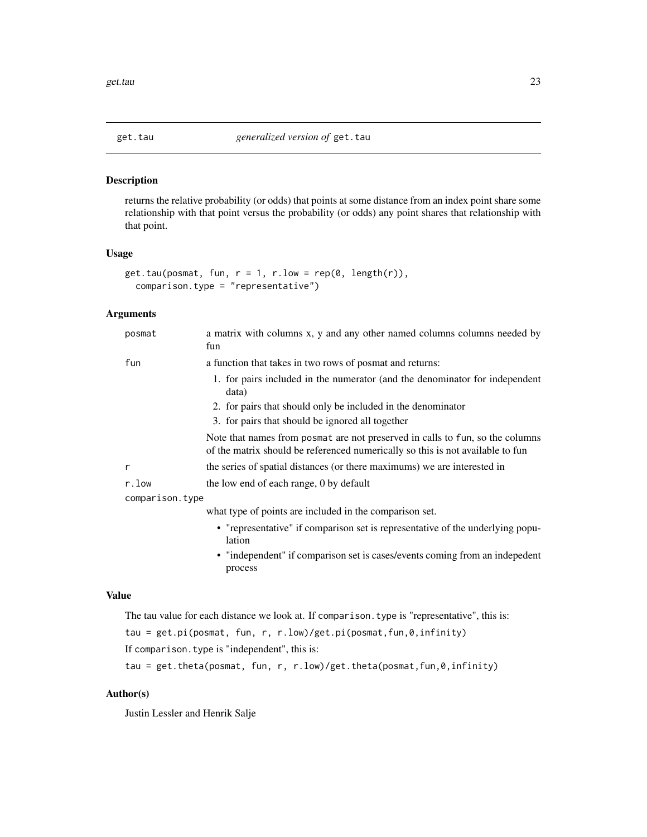<span id="page-22-1"></span><span id="page-22-0"></span>

### Description

returns the relative probability (or odds) that points at some distance from an index point share some relationship with that point versus the probability (or odds) any point shares that relationship with that point.

#### Usage

```
get.tau(posmat, fun, r = 1, r.low = rep(0, length(r)),comparison.type = "representative")
```
### Arguments

| posmat          | a matrix with columns x, y and any other named columns columns needed by<br>fun                                                                                 |
|-----------------|-----------------------------------------------------------------------------------------------------------------------------------------------------------------|
| fun             | a function that takes in two rows of posmat and returns:                                                                                                        |
|                 | 1. for pairs included in the numerator (and the denominator for independent<br>data)                                                                            |
|                 | 2. for pairs that should only be included in the denominator                                                                                                    |
|                 | 3. for pairs that should be ignored all together                                                                                                                |
|                 | Note that names from posmat are not preserved in calls to fun, so the columns<br>of the matrix should be referenced numerically so this is not available to fun |
| r               | the series of spatial distances (or there maximums) we are interested in                                                                                        |
| r.low           | the low end of each range, 0 by default                                                                                                                         |
| comparison.type |                                                                                                                                                                 |
|                 | what type of points are included in the comparison set.                                                                                                         |
|                 | • "representative" if comparison set is representative of the underlying popu-<br>lation                                                                        |
|                 | • "independent" if comparison set is cases/events coming from an indepedent<br>process                                                                          |
|                 |                                                                                                                                                                 |

### Value

```
The tau value for each distance we look at. If comparison.type is "representative", this is:
```
tau = get.pi(posmat, fun, r, r.low)/get.pi(posmat,fun,0,infinity)

If comparison.type is "independent", this is:

tau = get.theta(posmat, fun, r, r.low)/get.theta(posmat,fun,0,infinity)

### Author(s)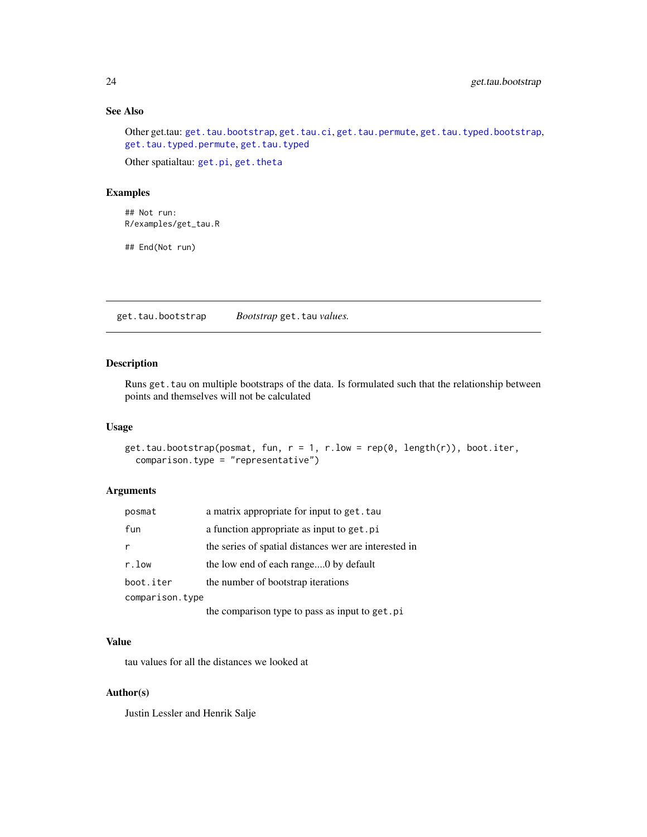### See Also

Other get.tau: [get.tau.bootstrap](#page-23-1), [get.tau.ci](#page-24-1), [get.tau.permute](#page-25-1), [get.tau.typed.bootstrap](#page-27-1), [get.tau.typed.permute](#page-28-1), [get.tau.typed](#page-26-1)

Other spatialtau: [get.pi](#page-15-1), [get.theta](#page-29-1)

### Examples

## Not run: R/examples/get\_tau.R

## End(Not run)

<span id="page-23-1"></span>get.tau.bootstrap *Bootstrap* get.tau *values.*

### Description

Runs get.tau on multiple bootstraps of the data. Is formulated such that the relationship between points and themselves will not be calculated

#### Usage

```
get.tau.bootstrap(posmat, fun, r = 1, r.low = rep(0, length(r)), boot.iter,comparison.type = "representative")
```
### Arguments

| posmat          | a matrix appropriate for input to get. tau            |
|-----------------|-------------------------------------------------------|
| fun             | a function appropriate as input to get. pi            |
| r               | the series of spatial distances wer are interested in |
| r.low           | the low end of each range0 by default                 |
| boot.iter       | the number of bootstrap iterations                    |
| comparison.type |                                                       |
|                 | the comparison type to pass as input to get.pi        |

#### Value

tau values for all the distances we looked at

#### Author(s)

<span id="page-23-0"></span>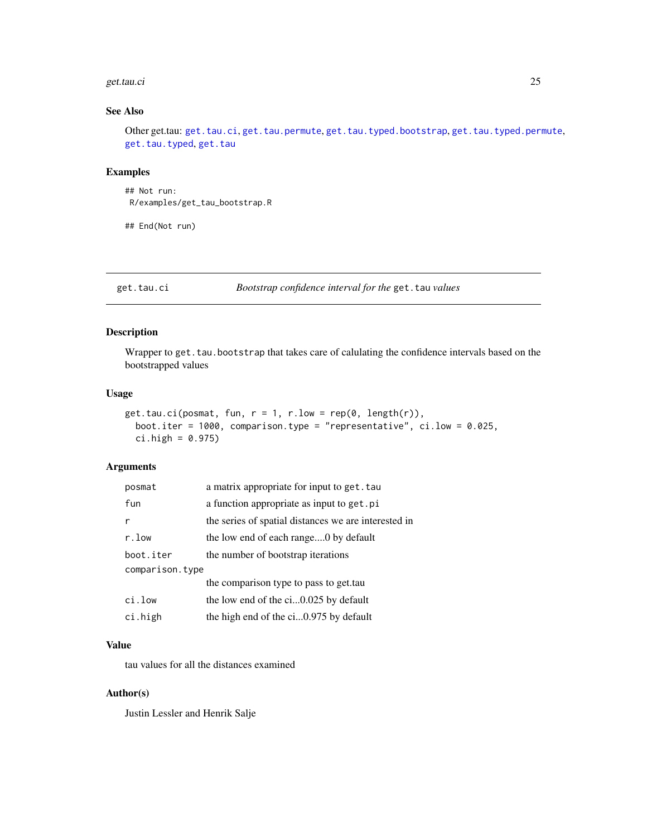#### <span id="page-24-0"></span>get.tau.ci 25

### See Also

Other get.tau: [get.tau.ci](#page-24-1), [get.tau.permute](#page-25-1), [get.tau.typed.bootstrap](#page-27-1), [get.tau.typed.permute](#page-28-1), [get.tau.typed](#page-26-1), [get.tau](#page-22-1)

### Examples

```
## Not run:
R/examples/get_tau_bootstrap.R
```
## End(Not run)

<span id="page-24-1"></span>get.tau.ci *Bootstrap confidence interval for the* get.tau *values*

### Description

Wrapper to get.tau.bootstrap that takes care of calulating the confidence intervals based on the bootstrapped values

#### Usage

```
get.tau.ci(posmat, fun, r = 1, r. low = rep(0, length(r)),boot.iter = 1000, comparison.type = "representative", ci.low = 0.025,
 ci.high = 0.975)
```
#### Arguments

| posmat          | a matrix appropriate for input to get. tau           |  |
|-----------------|------------------------------------------------------|--|
| fun             | a function appropriate as input to get. pi           |  |
| r               | the series of spatial distances we are interested in |  |
| r.low           | the low end of each range0 by default                |  |
| boot.iter       | the number of bootstrap iterations                   |  |
| comparison.type |                                                      |  |
|                 | the comparison type to pass to get.tau               |  |
| ci.low          | the low end of the ci0.025 by default                |  |
| ci.high         | the high end of the ci0.975 by default               |  |

#### Value

tau values for all the distances examined

#### Author(s)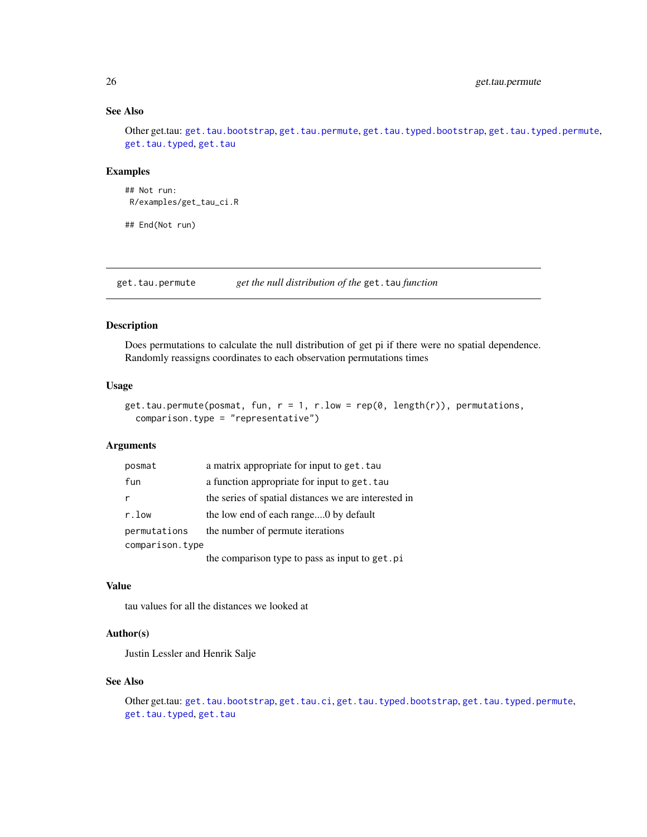### See Also

Other get.tau: [get.tau.bootstrap](#page-23-1), [get.tau.permute](#page-25-1), [get.tau.typed.bootstrap](#page-27-1), [get.tau.typed.permute](#page-28-1), [get.tau.typed](#page-26-1), [get.tau](#page-22-1)

#### Examples

```
## Not run:
R/examples/get_tau_ci.R
```
## End(Not run)

<span id="page-25-1"></span>get.tau.permute *get the null distribution of the* get.tau *function*

### Description

Does permutations to calculate the null distribution of get pi if there were no spatial dependence. Randomly reassigns coordinates to each observation permutations times

### Usage

```
get.tau.permute(posmat, fun, r = 1, r.low = rep(0, length(r)), permutations,comparison.type = "representative")
```
#### Arguments

| posmat          | a matrix appropriate for input to get. tau           |
|-----------------|------------------------------------------------------|
| fun             | a function appropriate for input to get. tau         |
|                 | the series of spatial distances we are interested in |
| r.low           | the low end of each range0 by default                |
| permutations    | the number of permute iterations                     |
| comparison.type |                                                      |
|                 | the comparison type to pass as input to get.pi       |

### Value

tau values for all the distances we looked at

### Author(s)

Justin Lessler and Henrik Salje

### See Also

Other get.tau: [get.tau.bootstrap](#page-23-1), [get.tau.ci](#page-24-1), [get.tau.typed.bootstrap](#page-27-1), [get.tau.typed.permute](#page-28-1), [get.tau.typed](#page-26-1), [get.tau](#page-22-1)

<span id="page-25-0"></span>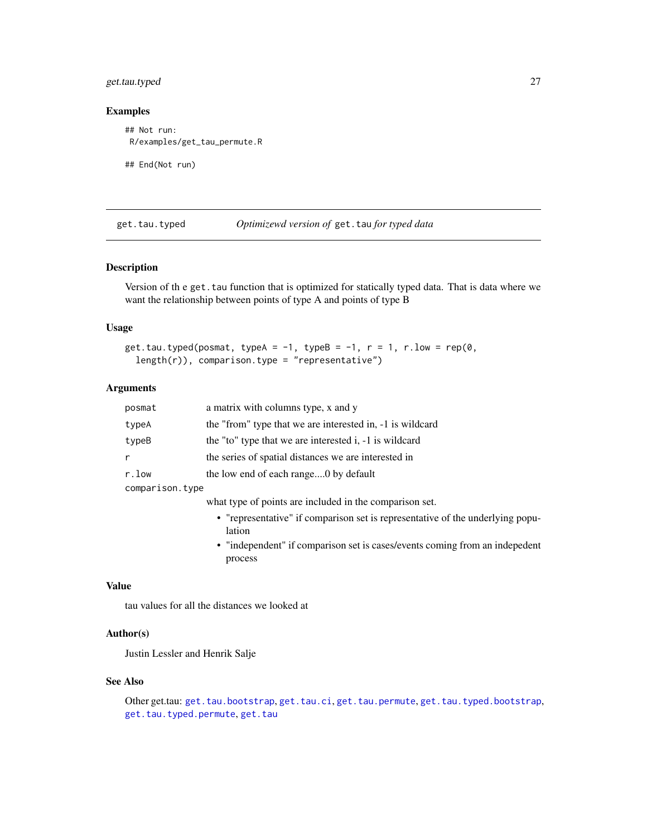### <span id="page-26-0"></span>get.tau.typed 27

### Examples

```
## Not run:
R/examples/get_tau_permute.R
```
## End(Not run)

<span id="page-26-1"></span>get.tau.typed *Optimizewd version of* get.tau *for typed data*

### Description

Version of the get.tau function that is optimized for statically typed data. That is data where we want the relationship between points of type A and points of type B

#### Usage

```
get.tau.typed(posmat, typeA = -1, typeB = -1, r = 1, r.low = rep(0,length(r), comparison.type = "representative")
```
#### Arguments

| posmat          | a matrix with columns type, x and y                                            |  |
|-----------------|--------------------------------------------------------------------------------|--|
| typeA           | the "from" type that we are interested in, -1 is wildcard                      |  |
| typeB           | the "to" type that we are interested i, -1 is wildcard                         |  |
| r               | the series of spatial distances we are interested in                           |  |
| r.low           | the low end of each range0 by default                                          |  |
| comparison.type |                                                                                |  |
|                 | what type of points are included in the comparison set.                        |  |
|                 | • "representative" if comparison set is representative of the underlying popu- |  |

lation • "independent" if comparison set is cases/events coming from an indepedent process

#### Value

tau values for all the distances we looked at

### Author(s)

Justin Lessler and Henrik Salje

### See Also

```
Other get.tau: get.tau.bootstrap, get.tau.ci, get.tau.permute, get.tau.typed.bootstrap,
get.tau.typed.permute, get.tau
```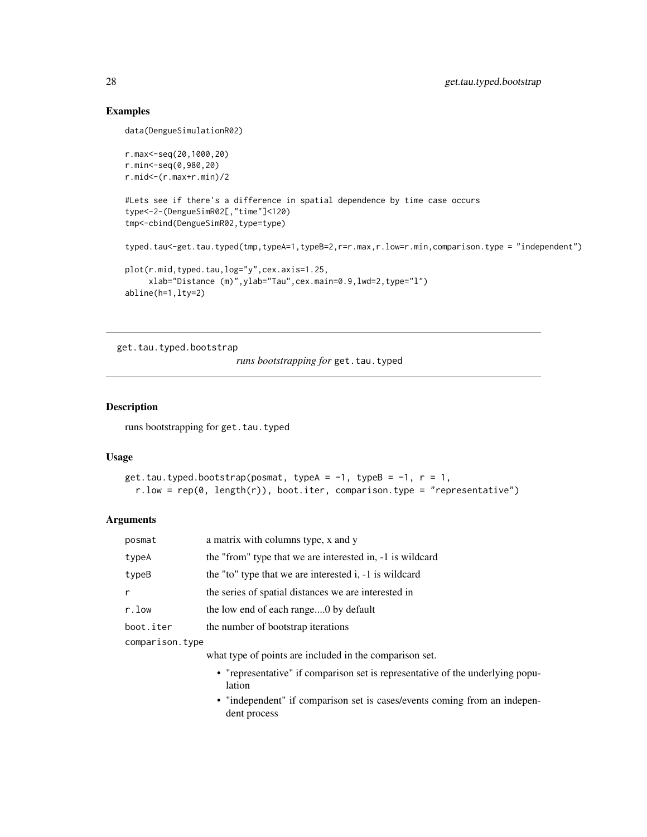### Examples

```
data(DengueSimulationR02)
r.max<-seq(20,1000,20)
r.min<-seq(0,980,20)
r.mid<-(r.max+r.min)/2
#Lets see if there's a difference in spatial dependence by time case occurs
type<-2-(DengueSimR02[,"time"]<120)
tmp<-cbind(DengueSimR02,type=type)
typed.tau<-get.tau.typed(tmp,typeA=1,typeB=2,r=r.max,r.low=r.min,comparison.type = "independent")
plot(r.mid,typed.tau,log="y",cex.axis=1.25,
    xlab="Distance (m)",ylab="Tau",cex.main=0.9,lwd=2,type="l")
abline(h=1,lty=2)
```
<span id="page-27-1"></span>get.tau.typed.bootstrap

*runs bootstrapping for* get.tau.typed

### Description

runs bootstrapping for get.tau.typed

#### Usage

```
get.tau.typed.bootstrap(posmat, typeA = -1, typeB = -1, r = 1,
  r.lower = rep(0, length(r)), boot.iter, comparison.type = "representative")
```
### Arguments

| posmat          | a matrix with columns type, x and y                                                       |
|-----------------|-------------------------------------------------------------------------------------------|
| typeA           | the "from" type that we are interested in, -1 is wildcard                                 |
| typeB           | the "to" type that we are interested i, -1 is wildcard                                    |
| r               | the series of spatial distances we are interested in                                      |
| r.low           | the low end of each range0 by default                                                     |
| boot.iter       | the number of bootstrap iterations                                                        |
| comparison.type |                                                                                           |
|                 | what type of points are included in the comparison set.                                   |
|                 | • "representative" if comparison set is representative of the underlying popu-<br>lation  |
|                 | • "independent" if comparison set is cases/events coming from an indepen-<br>dent process |

<span id="page-27-0"></span>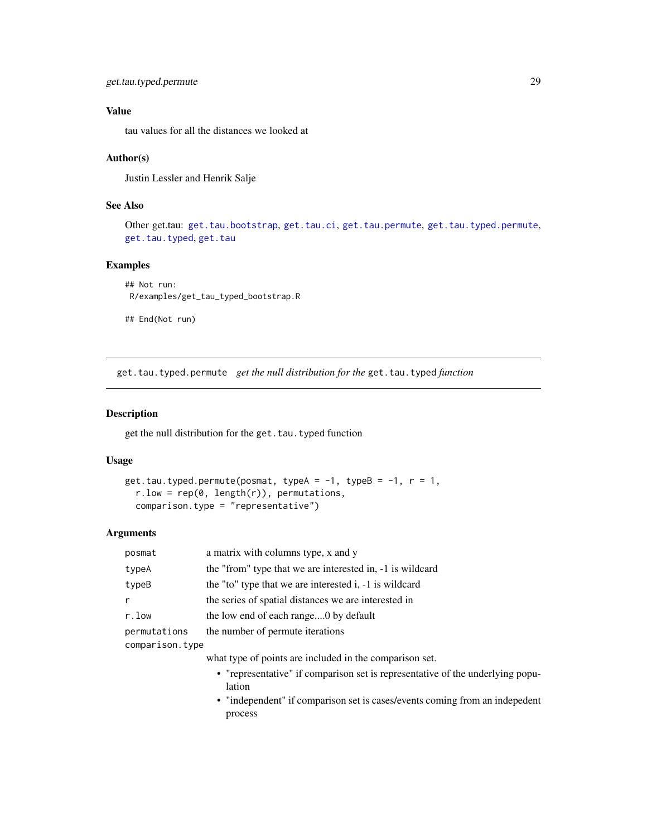<span id="page-28-0"></span>tau values for all the distances we looked at

#### Author(s)

Justin Lessler and Henrik Salje

### See Also

```
Other get.tau: get.tau.bootstrap, get.tau.ci, get.tau.permute, get.tau.typed.permute,
get.tau.typedget.tau
```
#### Examples

```
## Not run:
R/examples/get_tau_typed_bootstrap.R
```
## End(Not run)

<span id="page-28-1"></span>get.tau.typed.permute *get the null distribution for the* get.tau.typed *function*

#### Description

get the null distribution for the get.tau.typed function

#### Usage

```
get.tau.typed.permute(posmat, typeA = -1, typeB = -1, r = 1,
  r.low = rep(0, length(r)), permutations,
  comparison.type = "representative")
```
#### Arguments

| posmat          | a matrix with columns type, x and y                                                      |
|-----------------|------------------------------------------------------------------------------------------|
| typeA           | the "from" type that we are interested in, -1 is wildcard                                |
| typeB           | the "to" type that we are interested i, -1 is wildcard                                   |
| r               | the series of spatial distances we are interested in                                     |
| r.low           | the low end of each range0 by default                                                    |
| permutations    | the number of permute iterations                                                         |
| comparison.type |                                                                                          |
|                 | what type of points are included in the comparison set.                                  |
|                 | • "representative" if comparison set is representative of the underlying popu-<br>lation |

• "independent" if comparison set is cases/events coming from an indepedent process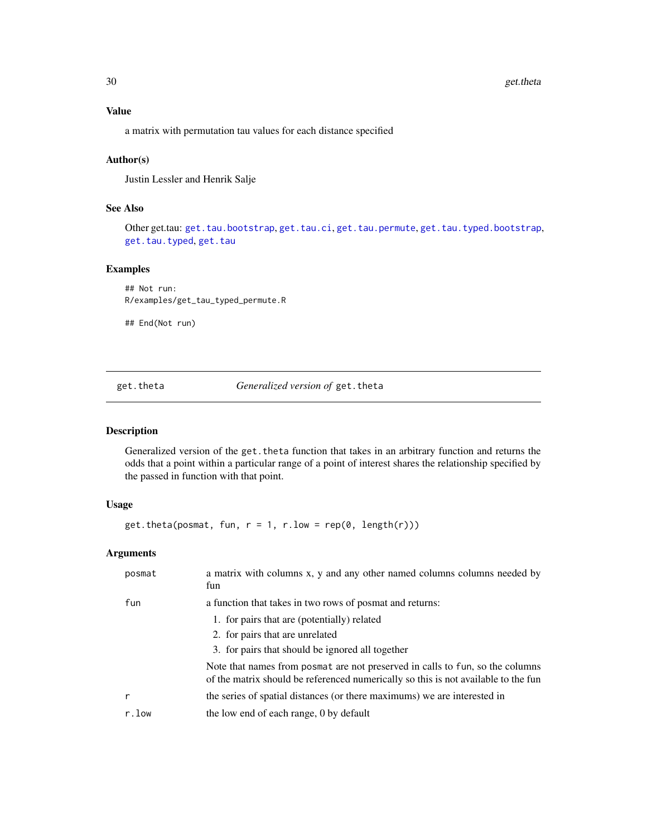<span id="page-29-0"></span>a matrix with permutation tau values for each distance specified

### Author(s)

Justin Lessler and Henrik Salje

### See Also

Other get.tau: [get.tau.bootstrap](#page-23-1), [get.tau.ci](#page-24-1), [get.tau.permute](#page-25-1), [get.tau.typed.bootstrap](#page-27-1), [get.tau.typed](#page-26-1), [get.tau](#page-22-1)

### Examples

## Not run: R/examples/get\_tau\_typed\_permute.R

## End(Not run)

<span id="page-29-1"></span>get.theta *Generalized version of* get.theta

### Description

Generalized version of the get. theta function that takes in an arbitrary function and returns the odds that a point within a particular range of a point of interest shares the relationship specified by the passed in function with that point.

### Usage

get.theta(posmat, fun,  $r = 1$ ,  $r.$  low =  $rep(0, length(r)))$ 

### Arguments

| posmat | a matrix with columns x, y and any other named columns columns needed by<br>fun                                                                                     |
|--------|---------------------------------------------------------------------------------------------------------------------------------------------------------------------|
| fun    | a function that takes in two rows of posmat and returns:                                                                                                            |
|        | 1. for pairs that are (potentially) related                                                                                                                         |
|        | 2. for pairs that are unrelated                                                                                                                                     |
|        | 3. for pairs that should be ignored all together                                                                                                                    |
|        | Note that names from posmat are not preserved in calls to fun, so the columns<br>of the matrix should be referenced numerically so this is not available to the fun |
|        | the series of spatial distances (or there maximums) we are interested in                                                                                            |
| r.low  | the low end of each range, 0 by default                                                                                                                             |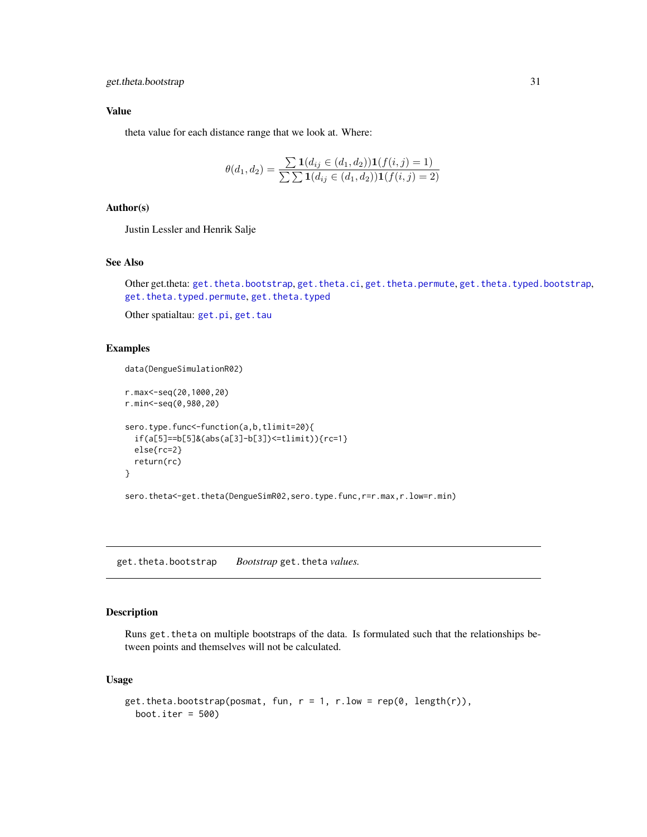<span id="page-30-0"></span>theta value for each distance range that we look at. Where:

$$
\theta(d_1, d_2) = \frac{\sum \mathbf{1}(d_{ij} \in (d_1, d_2)) \mathbf{1}(f(i, j) = 1)}{\sum \sum \mathbf{1}(d_{ij} \in (d_1, d_2)) \mathbf{1}(f(i, j) = 2)}
$$

### Author(s)

Justin Lessler and Henrik Salje

### See Also

Other get.theta: [get.theta.bootstrap](#page-30-1), [get.theta.ci](#page-31-1), [get.theta.permute](#page-32-1), [get.theta.typed.bootstrap](#page-34-1), [get.theta.typed.permute](#page-35-1), [get.theta.typed](#page-33-1)

Other spatialtau: [get.pi](#page-15-1), [get.tau](#page-22-1)

#### Examples

data(DengueSimulationR02)

```
r.max<-seq(20,1000,20)
r.min<-seq(0,980,20)
sero.type.func<-function(a,b,tlimit=20){
 if(a[5]==b[5]&(abs(a[3]-b[3])<=tlimit)){rc=1}
 else{rc=2}
 return(rc)
}
```
sero.theta<-get.theta(DengueSimR02,sero.type.func,r=r.max,r.low=r.min)

<span id="page-30-1"></span>get.theta.bootstrap *Bootstrap* get.theta *values.*

### Description

Runs get.theta on multiple bootstraps of the data. Is formulated such that the relationships between points and themselves will not be calculated.

#### Usage

```
get.theta.bootstrap(posmat, fun, r = 1, r. low = rep(0, length(r)),boot.iter = 500)
```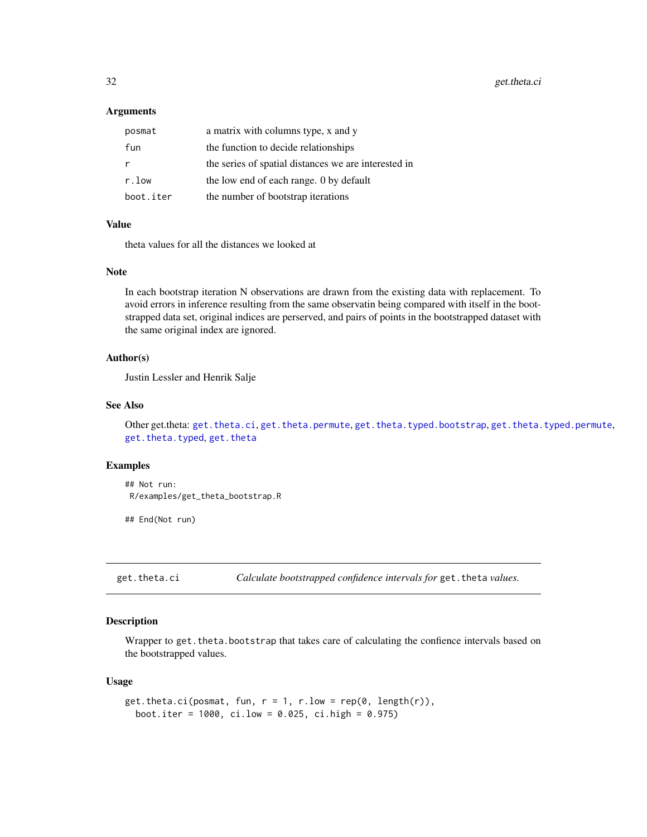<span id="page-31-0"></span>32 get.theta.ci

#### **Arguments**

| posmat    | a matrix with columns type, x and y                  |
|-----------|------------------------------------------------------|
| fun       | the function to decide relationships                 |
|           | the series of spatial distances we are interested in |
| r.low     | the low end of each range. 0 by default              |
| boot.iter | the number of bootstrap iterations                   |

#### Value

theta values for all the distances we looked at

### Note

In each bootstrap iteration N observations are drawn from the existing data with replacement. To avoid errors in inference resulting from the same observatin being compared with itself in the bootstrapped data set, original indices are perserved, and pairs of points in the bootstrapped dataset with the same original index are ignored.

#### Author(s)

Justin Lessler and Henrik Salje

#### See Also

Other get.theta: [get.theta.ci](#page-31-1), [get.theta.permute](#page-32-1), [get.theta.typed.bootstrap](#page-34-1), [get.theta.typed.permute](#page-35-1), [get.theta.typed](#page-33-1), [get.theta](#page-29-1)

### Examples

```
## Not run:
R/examples/get_theta_bootstrap.R
```
## End(Not run)

<span id="page-31-1"></span>get.theta.ci *Calculate bootstrapped confidence intervals for* get.theta *values.*

### Description

Wrapper to get. theta. bootstrap that takes care of calculating the confience intervals based on the bootstrapped values.

#### Usage

```
get.theta.ci(posmat, fun, r = 1, r. low = rep(0, length(r)),boot.iter = 1000, ci.low = 0.025, ci.high = 0.975)
```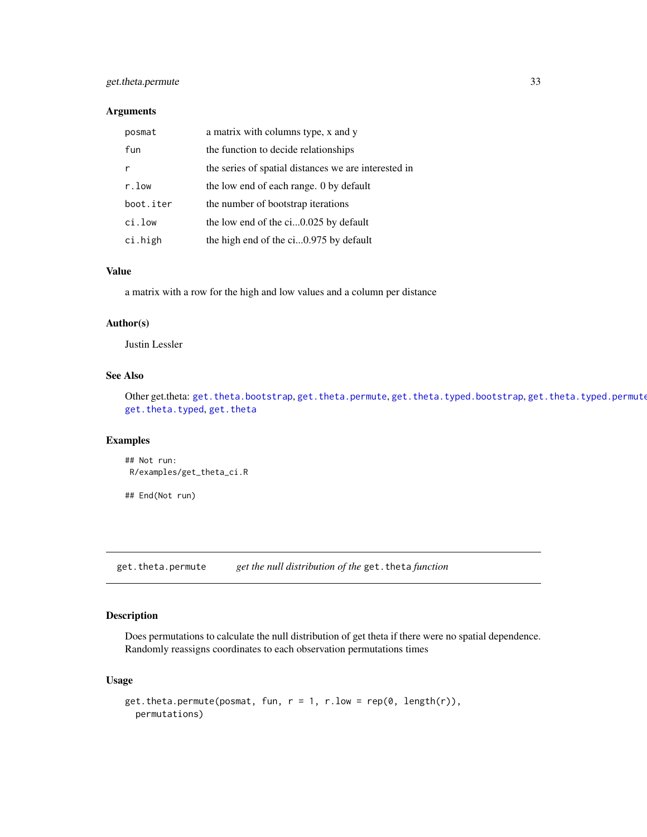### <span id="page-32-0"></span>get.theta.permute 33

#### Arguments

| posmat    | a matrix with columns type, x and y                  |
|-----------|------------------------------------------------------|
| fun       | the function to decide relationships                 |
|           | the series of spatial distances we are interested in |
| r.low     | the low end of each range. 0 by default              |
| boot.iter | the number of bootstrap iterations                   |
| ci.low    | the low end of the ci0.025 by default                |
| ci.high   | the high end of the ci0.975 by default               |

#### Value

a matrix with a row for the high and low values and a column per distance

#### Author(s)

Justin Lessler

### See Also

Other get.theta: [get.theta.bootstrap](#page-30-1), [get.theta.permute](#page-32-1), [get.theta.typed.bootstrap](#page-34-1), [get.theta.typed.permute](#page-35-1) [get.theta.typed](#page-33-1), [get.theta](#page-29-1)

#### Examples

```
## Not run:
R/examples/get_theta_ci.R
```
## End(Not run)

<span id="page-32-1"></span>get.theta.permute *get the null distribution of the* get.theta *function*

### Description

Does permutations to calculate the null distribution of get theta if there were no spatial dependence. Randomly reassigns coordinates to each observation permutations times

#### Usage

```
get.theta.permute(posmat, fun, r = 1, r.low = rep(0, length(r)),permutations)
```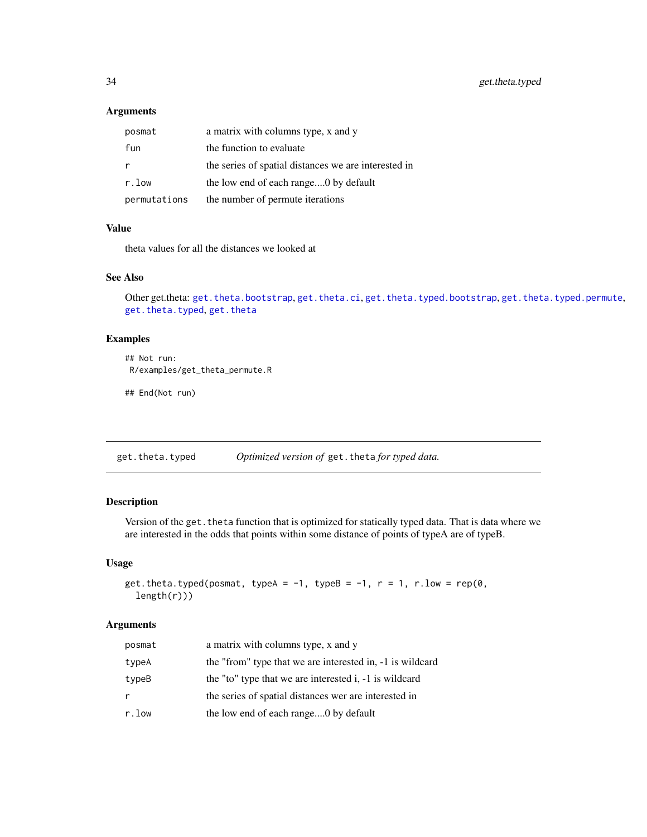### <span id="page-33-0"></span>Arguments

| posmat       | a matrix with columns type, x and y                  |
|--------------|------------------------------------------------------|
| fun          | the function to evaluate                             |
|              | the series of spatial distances we are interested in |
| r.low        | the low end of each range0 by default                |
| permutations | the number of permute iterations                     |

### Value

theta values for all the distances we looked at

### See Also

Other get.theta: [get.theta.bootstrap](#page-30-1), [get.theta.ci](#page-31-1), [get.theta.typed.bootstrap](#page-34-1), [get.theta.typed.permute](#page-35-1), [get.theta.typed](#page-33-1), [get.theta](#page-29-1)

### Examples

```
## Not run:
R/examples/get_theta_permute.R
```
## End(Not run)

<span id="page-33-1"></span>get.theta.typed *Optimized version of* get.theta *for typed data.*

### Description

Version of the get. theta function that is optimized for statically typed data. That is data where we are interested in the odds that points within some distance of points of typeA are of typeB.

#### Usage

```
get.theta.typed(posmat, typeA = -1, typeB = -1, r = 1, r.low = rep(0,length(r)))
```
#### Arguments

| posmat | a matrix with columns type, x and y                       |
|--------|-----------------------------------------------------------|
| typeA  | the "from" type that we are interested in, -1 is wildcard |
| typeB  | the "to" type that we are interested i, -1 is wildcard    |
| r      | the series of spatial distances wer are interested in     |
| r.low  | the low end of each range0 by default                     |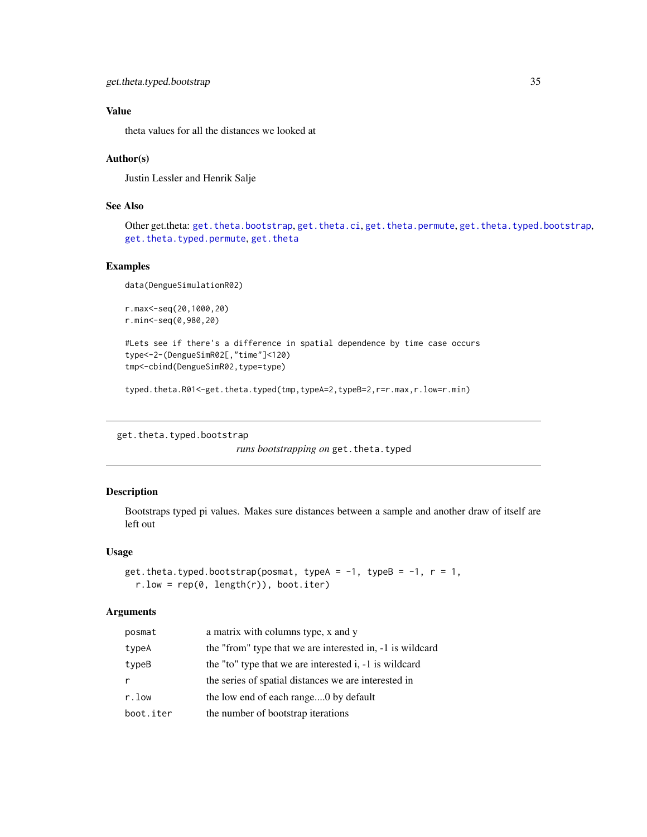<span id="page-34-0"></span>theta values for all the distances we looked at

#### Author(s)

Justin Lessler and Henrik Salje

### See Also

Other get.theta: [get.theta.bootstrap](#page-30-1), [get.theta.ci](#page-31-1), [get.theta.permute](#page-32-1), [get.theta.typed.bootstrap](#page-34-1), [get.theta.typed.permute](#page-35-1), [get.theta](#page-29-1)

#### Examples

data(DengueSimulationR02)

```
r.max<-seq(20,1000,20)
r.min<-seq(0,980,20)
```

```
#Lets see if there's a difference in spatial dependence by time case occurs
type<-2-(DengueSimR02[,"time"]<120)
tmp<-cbind(DengueSimR02,type=type)
```
typed.theta.R01<-get.theta.typed(tmp,typeA=2,typeB=2,r=r.max,r.low=r.min)

<span id="page-34-1"></span>get.theta.typed.bootstrap

*runs bootstrapping on* get. theta.typed

### Description

Bootstraps typed pi values. Makes sure distances between a sample and another draw of itself are left out

#### Usage

```
get.theta.typed.bootstrap(posmat, typeA = -1, typeB = -1, r = 1,
  r.low = rep(0, length(r)), boot.iter)
```
### Arguments

| posmat    | a matrix with columns type, x and y                       |
|-----------|-----------------------------------------------------------|
| typeA     | the "from" type that we are interested in, -1 is wildcard |
| typeB     | the "to" type that we are interested i, -1 is wildcard    |
| r         | the series of spatial distances we are interested in      |
| r.low     | the low end of each range0 by default                     |
| boot.iter | the number of bootstrap iterations                        |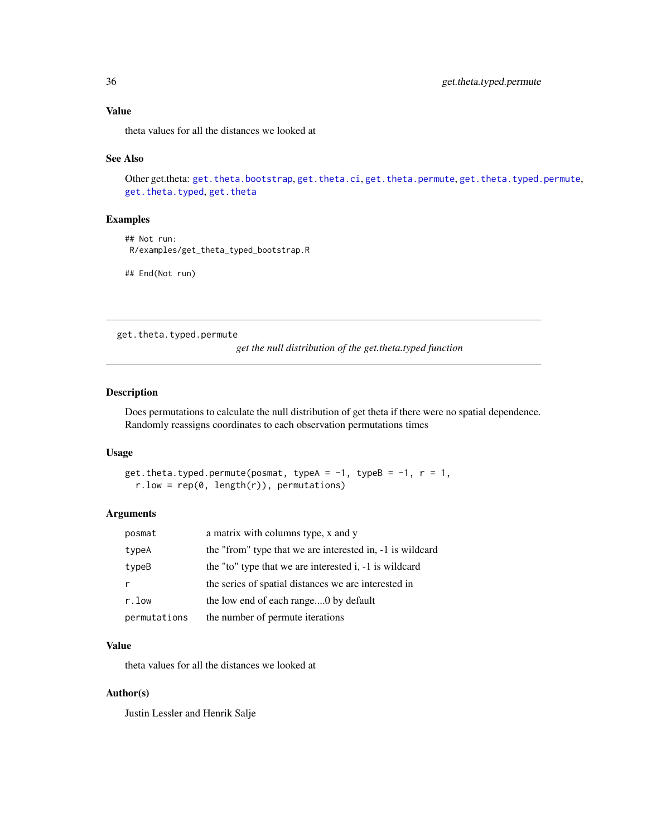<span id="page-35-0"></span>theta values for all the distances we looked at

#### See Also

Other get.theta: [get.theta.bootstrap](#page-30-1), [get.theta.ci](#page-31-1), [get.theta.permute](#page-32-1), [get.theta.typed.permute](#page-35-1), [get.theta.typed](#page-33-1), [get.theta](#page-29-1)

#### Examples

```
## Not run:
R/examples/get_theta_typed_bootstrap.R
```
## End(Not run)

<span id="page-35-1"></span>get.theta.typed.permute

*get the null distribution of the get.theta.typed function*

### Description

Does permutations to calculate the null distribution of get theta if there were no spatial dependence. Randomly reassigns coordinates to each observation permutations times

#### Usage

```
get.theta.typed.permute(posmat, typeA = -1, typeB = -1, r = 1,
  r.low = rep(0, length(r)), permutations)
```
#### Arguments

| posmat       | a matrix with columns type, x and y                       |
|--------------|-----------------------------------------------------------|
| typeA        | the "from" type that we are interested in, -1 is wildcard |
| typeB        | the "to" type that we are interested i, -1 is wildcard    |
|              | the series of spatial distances we are interested in      |
| r.low        | the low end of each range0 by default                     |
| permutations | the number of permute iterations                          |

### Value

theta values for all the distances we looked at

#### Author(s)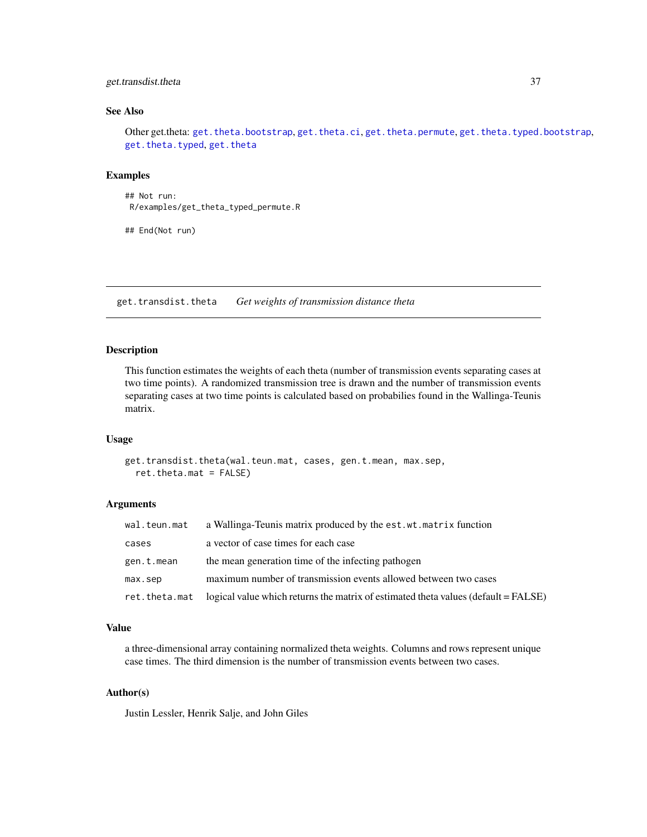### <span id="page-36-0"></span>get.transdist.theta 37

### See Also

Other get.theta: [get.theta.bootstrap](#page-30-1), [get.theta.ci](#page-31-1), [get.theta.permute](#page-32-1), [get.theta.typed.bootstrap](#page-34-1), [get.theta.typed](#page-33-1), [get.theta](#page-29-1)

### Examples

## Not run: R/examples/get\_theta\_typed\_permute.R

## End(Not run)

<span id="page-36-1"></span>get.transdist.theta *Get weights of transmission distance theta*

### Description

This function estimates the weights of each theta (number of transmission events separating cases at two time points). A randomized transmission tree is drawn and the number of transmission events separating cases at two time points is calculated based on probabilies found in the Wallinga-Teunis matrix.

#### Usage

```
get.transdist.theta(wal.teun.mat, cases, gen.t.mean, max.sep,
  ret.theta.mat = FALSE)
```
#### Arguments

| wal.teun.mat | a Wallinga-Teunis matrix produced by the est. wt. matrix function                                  |
|--------------|----------------------------------------------------------------------------------------------------|
| cases        | a vector of case times for each case                                                               |
| gen.t.mean   | the mean generation time of the infecting pathogen                                                 |
| max.sep      | maximum number of transmission events allowed between two cases                                    |
|              | ret. theta. mat logical value which returns the matrix of estimated theta values (default = FALSE) |

### Value

a three-dimensional array containing normalized theta weights. Columns and rows represent unique case times. The third dimension is the number of transmission events between two cases.

### Author(s)

Justin Lessler, Henrik Salje, and John Giles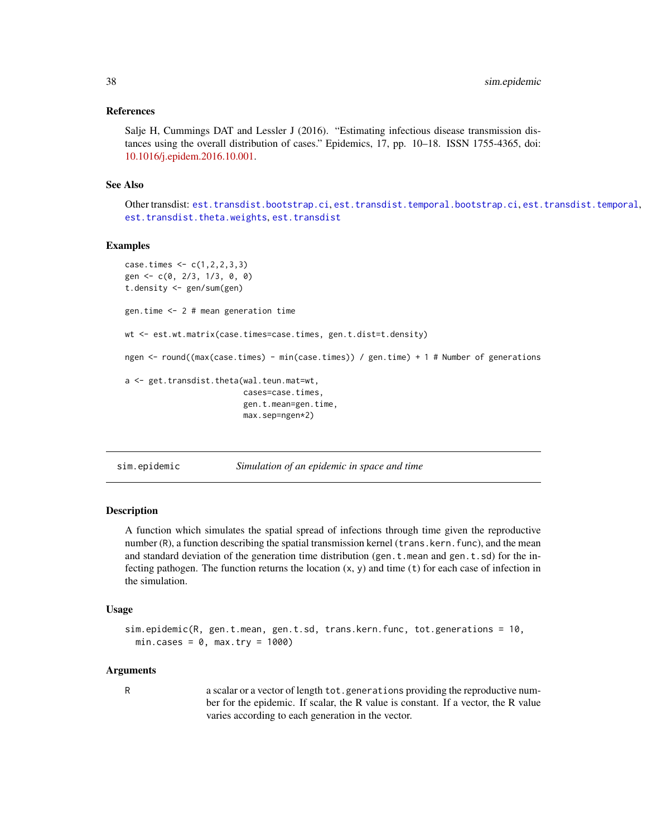#### <span id="page-37-0"></span>References

Salje H, Cummings DAT and Lessler J (2016). "Estimating infectious disease transmission distances using the overall distribution of cases." Epidemics, 17, pp. 10–18. ISSN 1755-4365, doi: [10.1016/j.epidem.2016.10.001.](https://www.sciencedirect.com/science/article/pii/S1755436516300317)

#### See Also

Other transdist: [est.transdist.bootstrap.ci](#page-5-1), [est.transdist.temporal.bootstrap.ci](#page-9-1), [est.transdist.temporal](#page-7-1), [est.transdist.theta.weights](#page-11-1).[est.transdist](#page-3-1)

#### Examples

```
case.times < -c(1,2,2,3,3)gen <- c(0, 2/3, 1/3, 0, 0)
t.density <- gen/sum(gen)
gen.time <- 2 # mean generation time
wt <- est.wt.matrix(case.times=case.times, gen.t.dist=t.density)
ngen <- round((max(case.times) - min(case.times)) / gen.time) + 1 # Number of generations
a <- get.transdist.theta(wal.teun.mat=wt,
                         cases=case.times,
                         gen.t.mean=gen.time,
                         max.sep=ngen*2)
```
sim.epidemic *Simulation of an epidemic in space and time*

#### Description

A function which simulates the spatial spread of infections through time given the reproductive number (R), a function describing the spatial transmission kernel (trans.kern.func), and the mean and standard deviation of the generation time distribution (gen.t.mean and gen.t.sd) for the infecting pathogen. The function returns the location  $(x, y)$  and time (t) for each case of infection in the simulation.

#### Usage

```
sim.epidemic(R, gen.t.mean, gen.t.sd, trans.kern.func, tot.generations = 10,
 min.class = 0, max.try = 1000
```
#### Arguments

R a scalar or a vector of length tot.generations providing the reproductive number for the epidemic. If scalar, the R value is constant. If a vector, the R value varies according to each generation in the vector.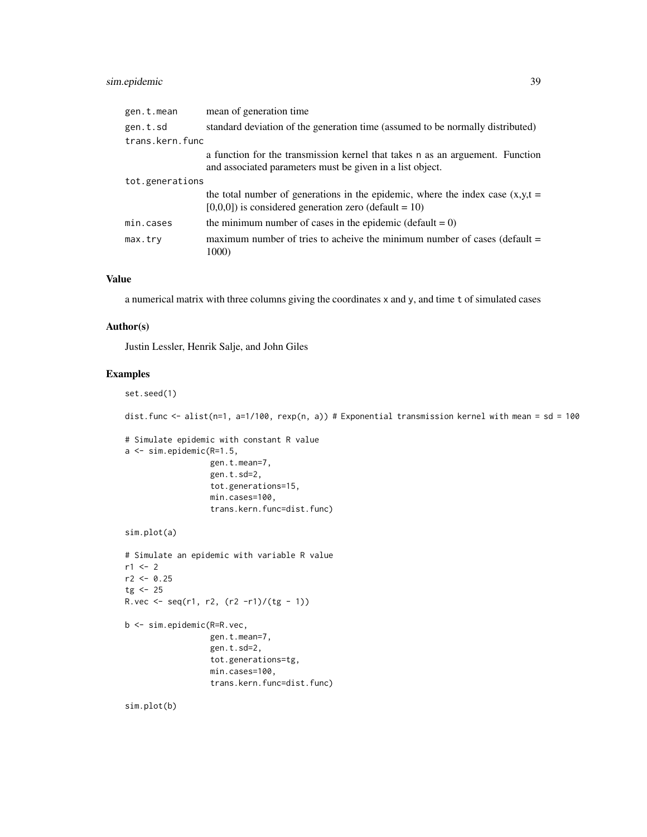### sim.epidemic 39

| gen.t.mean      | mean of generation time.                                                                                                                    |
|-----------------|---------------------------------------------------------------------------------------------------------------------------------------------|
| gen.t.sd        | standard deviation of the generation time (assumed to be normally distributed)                                                              |
| trans.kern.func |                                                                                                                                             |
|                 | a function for the transmission kernel that takes n as an arguement. Function<br>and associated parameters must be given in a list object.  |
| tot.generations |                                                                                                                                             |
|                 | the total number of generations in the epidemic, where the index case $(x,y,t)$<br>$[0,0,0]$ ) is considered generation zero (default = 10) |
| min.cases       | the minimum number of cases in the epidemic (default = $0$ )                                                                                |
| max.try         | maximum number of tries to achieve the minimum number of cases (default $=$<br>1000)                                                        |

### Value

a numerical matrix with three columns giving the coordinates x and y, and time t of simulated cases

#### Author(s)

Justin Lessler, Henrik Salje, and John Giles

### Examples

```
set.seed(1)
dist.func <- alist(n=1, a=1/100, rexp(n, a)) # Exponential transmission kernel with mean = sd = 100
# Simulate epidemic with constant R value
a <- sim.epidemic(R=1.5,
                  gen.t.mean=7,
                  gen.t.sd=2,
                  tot.generations=15,
                  min.cases=100,
                  trans.kern.func=dist.func)
sim.plot(a)
# Simulate an epidemic with variable R value
r1 < -2r2 < -0.25tg < -25R.vec <- seq(r1, r2, (r2 - r1)/(tg - 1))b <- sim.epidemic(R=R.vec,
                  gen.t.mean=7,
                  gen.t.sd=2,
                  tot.generations=tg,
                  min.cases=100,
                  trans.kern.func=dist.func)
sim.plot(b)
```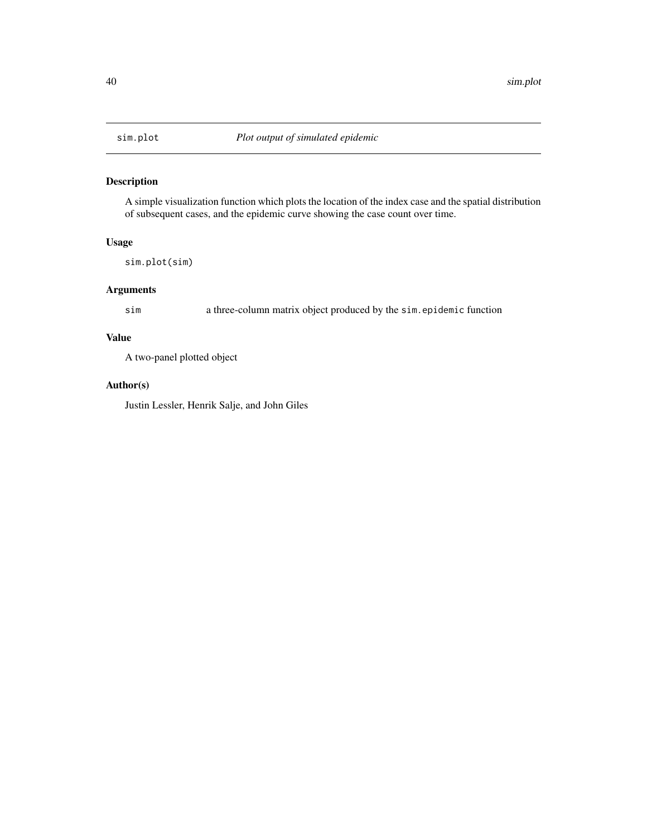<span id="page-39-0"></span>

### Description

A simple visualization function which plots the location of the index case and the spatial distribution of subsequent cases, and the epidemic curve showing the case count over time.

#### Usage

sim.plot(sim)

### Arguments

sim a three-column matrix object produced by the sim.epidemic function

### Value

A two-panel plotted object

#### Author(s)

Justin Lessler, Henrik Salje, and John Giles